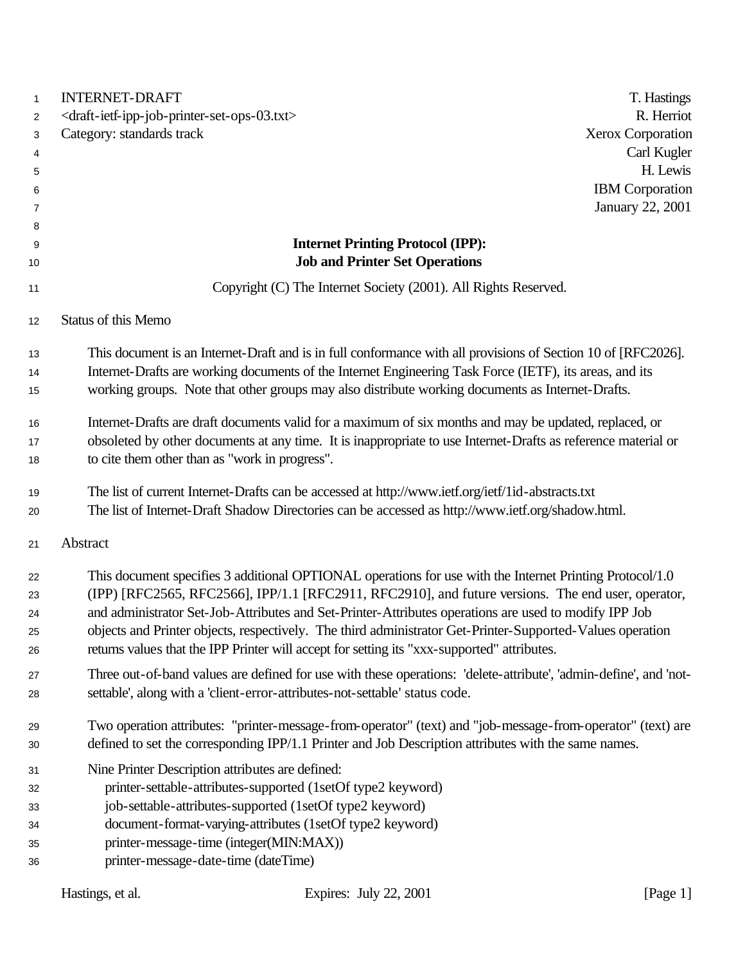| $\mathbf{1}$<br>2<br>3<br>4<br>5<br>6 | <b>INTERNET-DRAFT</b><br>T. Hastings<br><draft-ietf-ipp-job-printer-set-ops-03.txt><br/>R. Herriot<br/>Category: standards track<br/><b>Xerox Corporation</b><br/>Carl Kugler<br/>H. Lewis<br/><b>IBM</b> Corporation</draft-ietf-ipp-job-printer-set-ops-03.txt> |
|---------------------------------------|-------------------------------------------------------------------------------------------------------------------------------------------------------------------------------------------------------------------------------------------------------------------|
| 7<br>8                                | January 22, 2001                                                                                                                                                                                                                                                  |
| 9                                     | <b>Internet Printing Protocol (IPP):</b>                                                                                                                                                                                                                          |
| 10                                    | <b>Job and Printer Set Operations</b>                                                                                                                                                                                                                             |
| 11                                    | Copyright (C) The Internet Society (2001). All Rights Reserved.                                                                                                                                                                                                   |
| 12                                    | Status of this Memo                                                                                                                                                                                                                                               |
| 13                                    | This document is an Internet-Draft and is in full conformance with all provisions of Section 10 of [RFC2026].                                                                                                                                                     |
| 14                                    | Internet-Drafts are working documents of the Internet Engineering Task Force (IETF), its areas, and its                                                                                                                                                           |
| 15                                    | working groups. Note that other groups may also distribute working documents as Internet-Drafts.                                                                                                                                                                  |
| 16                                    | Internet-Drafts are draft documents valid for a maximum of six months and may be updated, replaced, or                                                                                                                                                            |
| 17                                    | obsoleted by other documents at any time. It is inappropriate to use Internet-Drafts as reference material or                                                                                                                                                     |
| 18                                    | to cite them other than as "work in progress".                                                                                                                                                                                                                    |
| 19                                    | The list of current Internet-Drafts can be accessed at http://www.ietf.org/ietf/1id-abstracts.txt                                                                                                                                                                 |
| 20                                    | The list of Internet-Draft Shadow Directories can be accessed as http://www.ietf.org/shadow.html.                                                                                                                                                                 |
| 21                                    | Abstract                                                                                                                                                                                                                                                          |
| 22                                    | This document specifies 3 additional OPTIONAL operations for use with the Internet Printing Protocol/1.0                                                                                                                                                          |
| 23                                    | (IPP) [RFC2565, RFC2566], IPP/1.1 [RFC2911, RFC2910], and future versions. The end user, operator,                                                                                                                                                                |
| 24                                    | and administrator Set-Job-Attributes and Set-Printer-Attributes operations are used to modify IPP Job                                                                                                                                                             |
| 25                                    | objects and Printer objects, respectively. The third administrator Get-Printer-Supported-Values operation                                                                                                                                                         |
| 26                                    | returns values that the IPP Printer will accept for setting its "xxx-supported" attributes.                                                                                                                                                                       |
| 27                                    | Three out-of-band values are defined for use with these operations: 'delete-attribute', 'admin-define', and 'not-                                                                                                                                                 |
| 28                                    | settable', along with a 'client-error-attributes-not-settable' status code.                                                                                                                                                                                       |
| 29                                    | Two operation attributes: "printer-message-from-operator" (text) and "job-message-from-operator" (text) are                                                                                                                                                       |
| 30                                    | defined to set the corresponding IPP/1.1 Printer and Job Description attributes with the same names.                                                                                                                                                              |
| 31                                    | Nine Printer Description attributes are defined:                                                                                                                                                                                                                  |
| 32                                    | printer-settable-attributes-supported (1setOf type2 keyword)                                                                                                                                                                                                      |
| 33                                    | job-settable-attributes-supported (1setOf type2 keyword)                                                                                                                                                                                                          |
| 34                                    | document-format-varying-attributes (1setOf type2 keyword)                                                                                                                                                                                                         |
| 35                                    | printer-message-time (integer(MIN:MAX))                                                                                                                                                                                                                           |
| 36                                    | printer-message-date-time (dateTime)                                                                                                                                                                                                                              |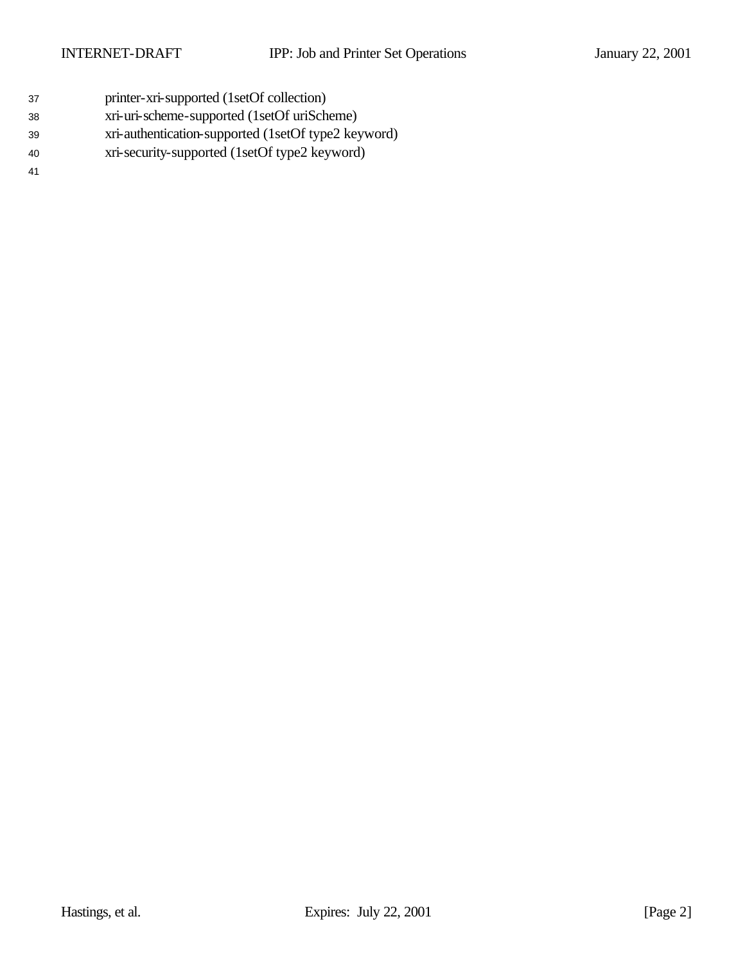- printer-xri-supported (1setOf collection)
- xri-uri-scheme-supported (1setOf uriScheme)
- xri-authentication-supported (1setOf type2 keyword)
- xri-security-supported (1setOf type2 keyword)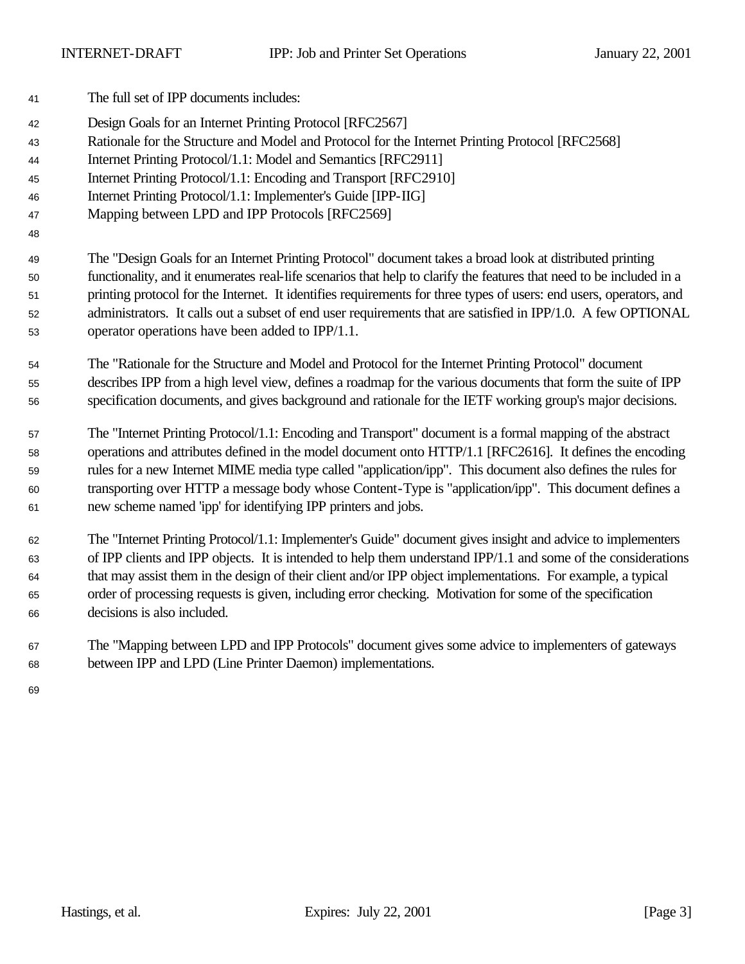- The full set of IPP documents includes:
- Design Goals for an Internet Printing Protocol [RFC2567]
- Rationale for the Structure and Model and Protocol for the Internet Printing Protocol [RFC2568]
- Internet Printing Protocol/1.1: Model and Semantics [RFC2911]
- Internet Printing Protocol/1.1: Encoding and Transport [RFC2910]
- Internet Printing Protocol/1.1: Implementer's Guide [IPP-IIG]
- Mapping between LPD and IPP Protocols [RFC2569]
- The "Design Goals for an Internet Printing Protocol" document takes a broad look at distributed printing functionality, and it enumerates real-life scenarios that help to clarify the features that need to be included in a printing protocol for the Internet. It identifies requirements for three types of users: end users, operators, and administrators. It calls out a subset of end user requirements that are satisfied in IPP/1.0. A few OPTIONAL operator operations have been added to IPP/1.1.
- The "Rationale for the Structure and Model and Protocol for the Internet Printing Protocol" document describes IPP from a high level view, defines a roadmap for the various documents that form the suite of IPP specification documents, and gives background and rationale for the IETF working group's major decisions.
- The "Internet Printing Protocol/1.1: Encoding and Transport" document is a formal mapping of the abstract operations and attributes defined in the model document onto HTTP/1.1 [RFC2616]. It defines the encoding rules for a new Internet MIME media type called "application/ipp". This document also defines the rules for transporting over HTTP a message body whose Content-Type is "application/ipp". This document defines a new scheme named 'ipp' for identifying IPP printers and jobs.
- The "Internet Printing Protocol/1.1: Implementer's Guide" document gives insight and advice to implementers of IPP clients and IPP objects. It is intended to help them understand IPP/1.1 and some of the considerations that may assist them in the design of their client and/or IPP object implementations. For example, a typical order of processing requests is given, including error checking. Motivation for some of the specification decisions is also included.
- The "Mapping between LPD and IPP Protocols" document gives some advice to implementers of gateways between IPP and LPD (Line Printer Daemon) implementations.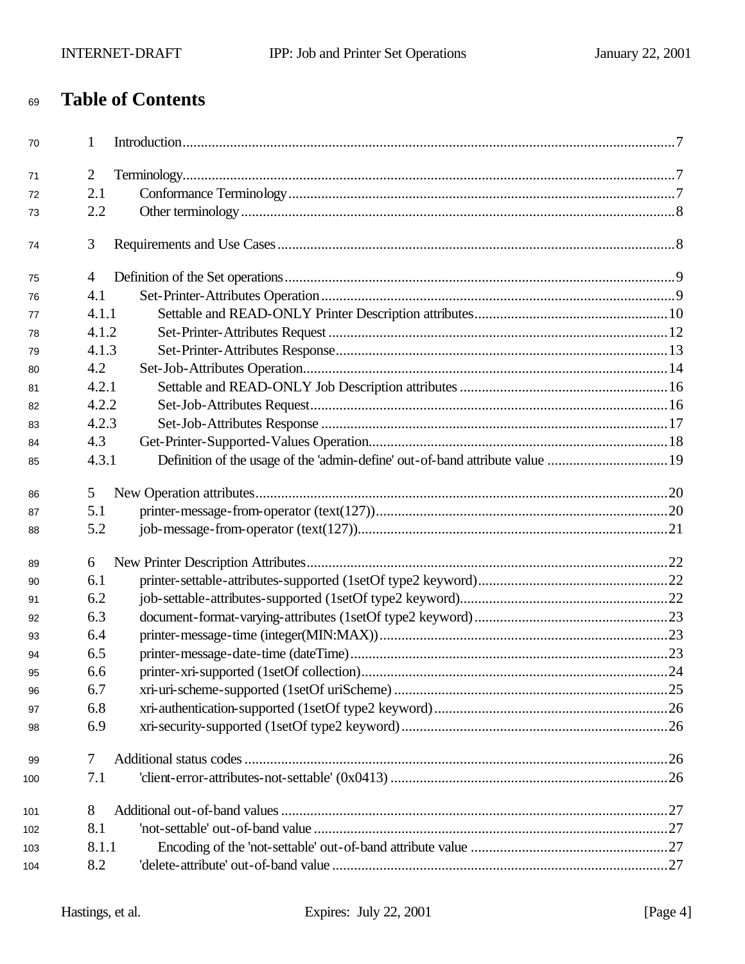# **Table of Contents**

| 70  | 1              |                                                                              |  |
|-----|----------------|------------------------------------------------------------------------------|--|
| 71  | $\overline{2}$ |                                                                              |  |
| 72  | 2.1            |                                                                              |  |
| 73  | 2.2            |                                                                              |  |
| 74  | 3              |                                                                              |  |
| 75  | 4              |                                                                              |  |
| 76  | 4.1            |                                                                              |  |
| 77  | 4.1.1          |                                                                              |  |
| 78  | 4.1.2          |                                                                              |  |
| 79  | 4.1.3          |                                                                              |  |
| 80  | 4.2            |                                                                              |  |
| 81  | 4.2.1          |                                                                              |  |
| 82  | 4.2.2          |                                                                              |  |
| 83  | 4.2.3          |                                                                              |  |
| 84  | 4.3            |                                                                              |  |
| 85  | 4.3.1          | Definition of the usage of the 'admin-define' out-of-band attribute value 19 |  |
| 86  | 5              |                                                                              |  |
| 87  | 5.1            |                                                                              |  |
| 88  | 5.2            |                                                                              |  |
| 89  | 6              |                                                                              |  |
| 90  | 6.1            |                                                                              |  |
| 91  | 6.2            |                                                                              |  |
| 92  | 6.3            |                                                                              |  |
| 93  | 6.4            |                                                                              |  |
| 94  | 6.5            |                                                                              |  |
| 95  | 6.6            |                                                                              |  |
| 96  | 6.7            |                                                                              |  |
| 97  | 6.8            |                                                                              |  |
| 98  | 6.9            |                                                                              |  |
| 99  | 7              |                                                                              |  |
| 100 | 7.1            |                                                                              |  |
| 101 | 8              |                                                                              |  |
| 102 | 8.1            |                                                                              |  |
| 103 | 8.1.1          |                                                                              |  |
| 104 | 8.2            |                                                                              |  |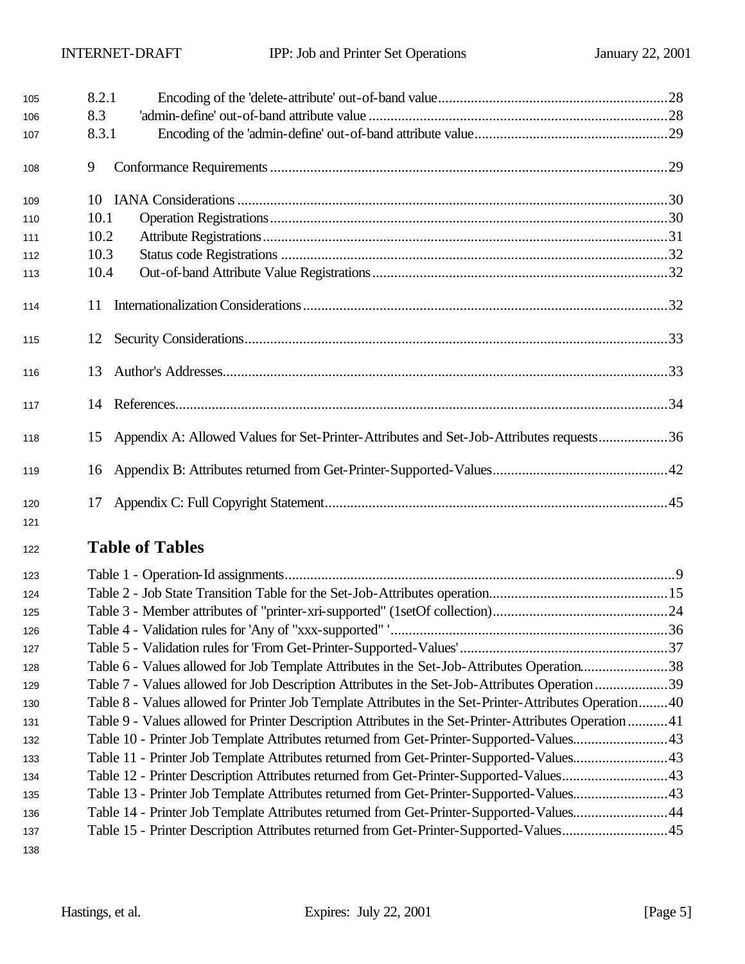| 105        | 8.2.1                                                                                                  |
|------------|--------------------------------------------------------------------------------------------------------|
| 106        | 8.3                                                                                                    |
| 107        | 8.3.1                                                                                                  |
| 108        | 9                                                                                                      |
| 109        | 10                                                                                                     |
| 110        | 10.1                                                                                                   |
| 111        | 10.2                                                                                                   |
| 112        | 10.3                                                                                                   |
| 113        | 10.4                                                                                                   |
| 114        | 11                                                                                                     |
| 115        | 12                                                                                                     |
| 116        | 13                                                                                                     |
| 117        | 14                                                                                                     |
| 118        | Appendix A: Allowed Values for Set-Printer-Attributes and Set-Job-Attributes requests36<br>15          |
| 119        | 16                                                                                                     |
| 120<br>121 | 17                                                                                                     |
| 122        | <b>Table of Tables</b>                                                                                 |
| 123        |                                                                                                        |
| 124        |                                                                                                        |
| 125        |                                                                                                        |
| 126        |                                                                                                        |
| 127        |                                                                                                        |
| 128        | Table 6 - Values allowed for Job Template Attributes in the Set-Job-Attributes Operation38             |
| 129        | Table 7 - Values allowed for Job Description Attributes in the Set-Job-Attributes Operation39          |
| 130        | Table 8 - Values allowed for Printer Job Template Attributes in the Set-Printer-Attributes Operation40 |
| 131        | Table 9 - Values allowed for Printer Description Attributes in the Set-Printer-Attributes Operation 41 |
| 132        | Table 10 - Printer Job Template Attributes returned from Get-Printer-Supported-Values43                |
| 133        | Table 11 - Printer Job Template Attributes returned from Get-Printer-Supported-Values43                |
| 134        | Table 12 - Printer Description Attributes returned from Get-Printer-Supported-Values43                 |
| 135        | Table 13 - Printer Job Template Attributes returned from Get-Printer-Supported-Values43                |
| 136        | Table 14 - Printer Job Template Attributes returned from Get-Printer-Supported-Values44                |
| 137        | Table 15 - Printer Description Attributes returned from Get-Printer-Supported-Values45                 |
| 138        |                                                                                                        |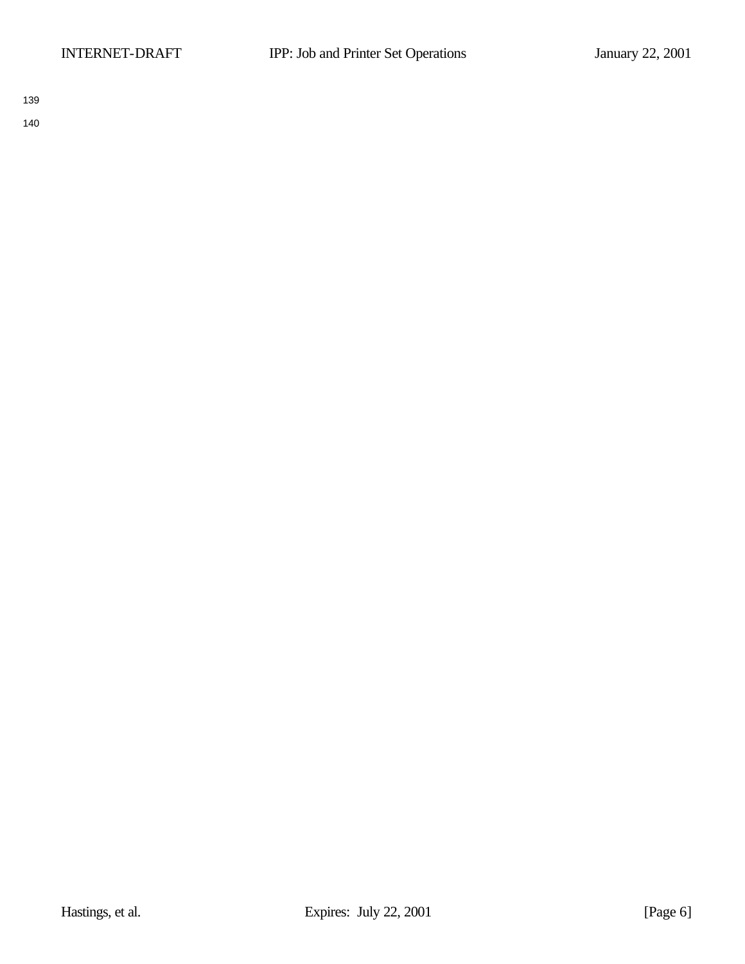139

140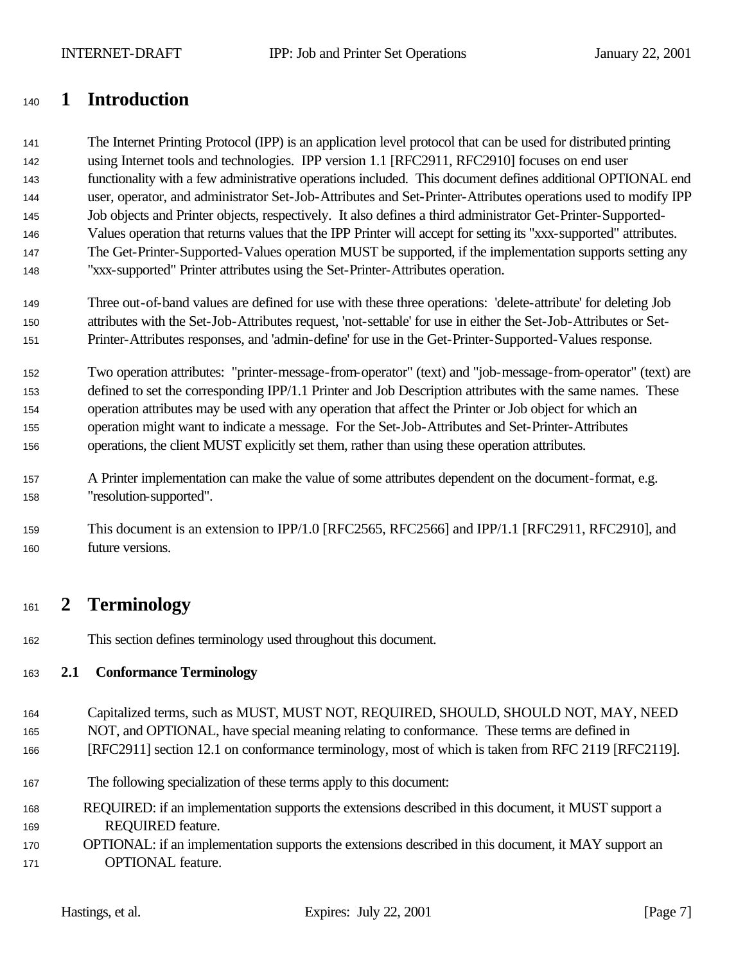## **1 Introduction**

 The Internet Printing Protocol (IPP) is an application level protocol that can be used for distributed printing using Internet tools and technologies. IPP version 1.1 [RFC2911, RFC2910] focuses on end user functionality with a few administrative operations included. This document defines additional OPTIONAL end user, operator, and administrator Set-Job-Attributes and Set-Printer-Attributes operations used to modify IPP Job objects and Printer objects, respectively. It also defines a third administrator Get-Printer-Supported-146 Values operation that returns values that the IPP Printer will accept for setting its "xxx-supported" attributes. The Get-Printer-Supported-Values operation MUST be supported, if the implementation supports setting any "xxx-supported" Printer attributes using the Set-Printer-Attributes operation.

 Three out-of-band values are defined for use with these three operations: 'delete-attribute' for deleting Job attributes with the Set-Job-Attributes request, 'not-settable' for use in either the Set-Job-Attributes or Set-Printer-Attributes responses, and 'admin-define' for use in the Get-Printer-Supported-Values response.

 Two operation attributes: "printer-message-from-operator" (text) and "job-message-from-operator" (text) are defined to set the corresponding IPP/1.1 Printer and Job Description attributes with the same names. These operation attributes may be used with any operation that affect the Printer or Job object for which an operation might want to indicate a message. For the Set-Job-Attributes and Set-Printer-Attributes operations, the client MUST explicitly set them, rather than using these operation attributes.

- A Printer implementation can make the value of some attributes dependent on the document-format, e.g. "resolution-supported".
- This document is an extension to IPP/1.0 [RFC2565, RFC2566] and IPP/1.1 [RFC2911, RFC2910], and future versions.

## **2 Terminology**

This section defines terminology used throughout this document.

## **2.1 Conformance Terminology**

- Capitalized terms, such as MUST, MUST NOT, REQUIRED, SHOULD, SHOULD NOT, MAY, NEED
- NOT, and OPTIONAL, have special meaning relating to conformance. These terms are defined in
- [RFC2911] section 12.1 on conformance terminology, most of which is taken from RFC 2119 [RFC2119].
- The following specialization of these terms apply to this document:
- REQUIRED: if an implementation supports the extensions described in this document, it MUST support a REQUIRED feature.
- OPTIONAL: if an implementation supports the extensions described in this document, it MAY support an OPTIONAL feature.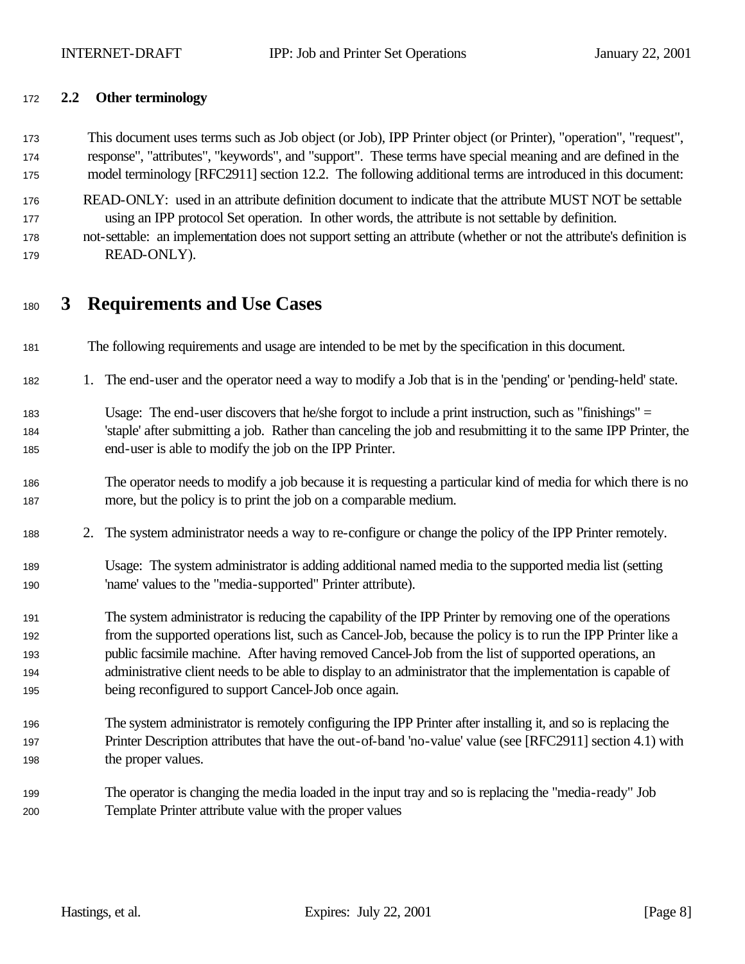## **2.2 Other terminology**

- This document uses terms such as Job object (or Job), IPP Printer object (or Printer), "operation", "request", response", "attributes", "keywords", and "support". These terms have special meaning and are defined in the model terminology [RFC2911] section 12.2. The following additional terms are introduced in this document:
- READ-ONLY: used in an attribute definition document to indicate that the attribute MUST NOT be settable using an IPP protocol Set operation. In other words, the attribute is not settable by definition.
- not-settable: an implementation does not support setting an attribute (whether or not the attribute's definition is READ-ONLY).

## **3 Requirements and Use Cases**

The following requirements and usage are intended to be met by the specification in this document.

- 1. The end-user and the operator need a way to modify a Job that is in the 'pending' or 'pending-held' state.
- Usage: The end-user discovers that he/she forgot to include a print instruction, such as "finishings" = 'staple' after submitting a job. Rather than canceling the job and resubmitting it to the same IPP Printer, the end-user is able to modify the job on the IPP Printer.
- The operator needs to modify a job because it is requesting a particular kind of media for which there is no more, but the policy is to print the job on a comparable medium.
- 2. The system administrator needs a way to re-configure or change the policy of the IPP Printer remotely.
- Usage: The system administrator is adding additional named media to the supported media list (setting 'name' values to the "media-supported" Printer attribute).
- The system administrator is reducing the capability of the IPP Printer by removing one of the operations from the supported operations list, such as Cancel-Job, because the policy is to run the IPP Printer like a public facsimile machine. After having removed Cancel-Job from the list of supported operations, an administrative client needs to be able to display to an administrator that the implementation is capable of being reconfigured to support Cancel-Job once again.
- The system administrator is remotely configuring the IPP Printer after installing it, and so is replacing the Printer Description attributes that have the out-of-band 'no-value' value (see [RFC2911] section 4.1) with 198 the proper values.
- The operator is changing the media loaded in the input tray and so is replacing the "media-ready" Job Template Printer attribute value with the proper values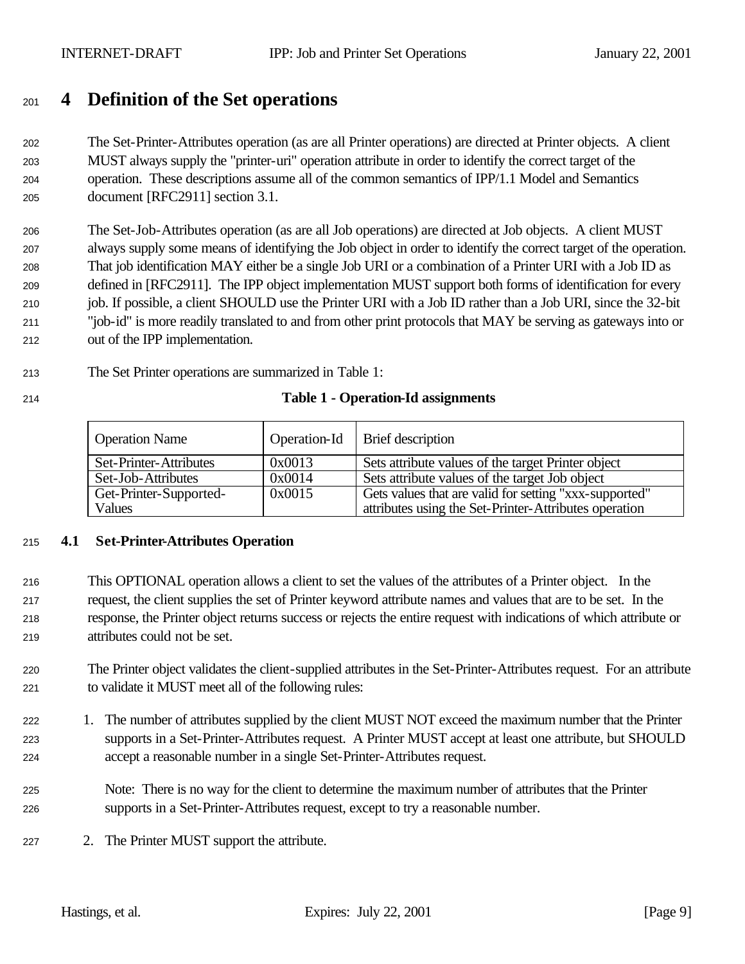## **4 Definition of the Set operations**

 The Set-Printer-Attributes operation (as are all Printer operations) are directed at Printer objects. A client MUST always supply the "printer-uri" operation attribute in order to identify the correct target of the operation. These descriptions assume all of the common semantics of IPP/1.1 Model and Semantics document [RFC2911] section 3.1.

 The Set-Job-Attributes operation (as are all Job operations) are directed at Job objects. A client MUST always supply some means of identifying the Job object in order to identify the correct target of the operation. That job identification MAY either be a single Job URI or a combination of a Printer URI with a Job ID as defined in [RFC2911]. The IPP object implementation MUST support both forms of identification for every job. If possible, a client SHOULD use the Printer URI with a Job ID rather than a Job URI, since the 32-bit "job-id" is more readily translated to and from other print protocols that MAY be serving as gateways into or out of the IPP implementation.

- The Set Printer operations are summarized in Table 1:
- 

| 214 | <b>Table 1 - Operation-Id assignments</b> |
|-----|-------------------------------------------|

| <b>Operation Name</b>         | Operation-Id | <b>Brief</b> description                               |
|-------------------------------|--------------|--------------------------------------------------------|
| <b>Set-Printer-Attributes</b> | 0x0013       | Sets attribute values of the target Printer object     |
| Set-Job-Attributes            | 0x0014       | Sets attribute values of the target Job object         |
| Get-Printer-Supported-        | 0x0015       | Gets values that are valid for setting "xxx-supported" |
| Values                        |              | attributes using the Set-Printer-Attributes operation  |

## **4.1 Set-Printer-Attributes Operation**

- This OPTIONAL operation allows a client to set the values of the attributes of a Printer object. In the request, the client supplies the set of Printer keyword attribute names and values that are to be set. In the response, the Printer object returns success or rejects the entire request with indications of which attribute or attributes could not be set.
- The Printer object validates the client-supplied attributes in the Set-Printer-Attributes request. For an attribute to validate it MUST meet all of the following rules:
- 1. The number of attributes supplied by the client MUST NOT exceed the maximum number that the Printer supports in a Set-Printer-Attributes request. A Printer MUST accept at least one attribute, but SHOULD accept a reasonable number in a single Set-Printer-Attributes request.
- Note: There is no way for the client to determine the maximum number of attributes that the Printer supports in a Set-Printer-Attributes request, except to try a reasonable number.
- 2. The Printer MUST support the attribute.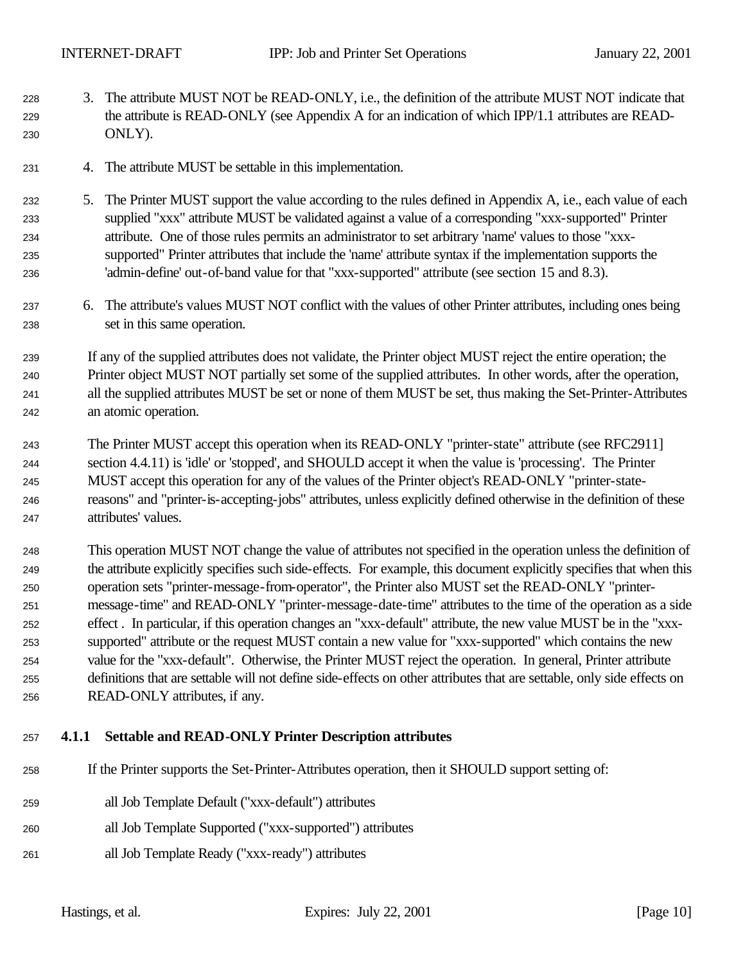- 3. The attribute MUST NOT be READ-ONLY, i.e., the definition of the attribute MUST NOT indicate that the attribute is READ-ONLY (see Appendix A for an indication of which IPP/1.1 attributes are READ-ONLY).
- 4. The attribute MUST be settable in this implementation.
- 232 5. The Printer MUST support the value according to the rules defined in Appendix A, i.e., each value of each supplied "xxx" attribute MUST be validated against a value of a corresponding "xxx-supported" Printer attribute. One of those rules permits an administrator to set arbitrary 'name' values to those "xxx- supported" Printer attributes that include the 'name' attribute syntax if the implementation supports the 'admin-define' out-of-band value for that "xxx-supported" attribute (see section 15 and 8.3).
- 6. The attribute's values MUST NOT conflict with the values of other Printer attributes, including ones being set in this same operation.
- If any of the supplied attributes does not validate, the Printer object MUST reject the entire operation; the Printer object MUST NOT partially set some of the supplied attributes. In other words, after the operation, all the supplied attributes MUST be set or none of them MUST be set, thus making the Set-Printer-Attributes an atomic operation.
- The Printer MUST accept this operation when its READ-ONLY "printer-state" attribute (see RFC2911] section 4.4.11) is 'idle' or 'stopped', and SHOULD accept it when the value is 'processing'. The Printer MUST accept this operation for any of the values of the Printer object's READ-ONLY "printer-state- reasons" and "printer-is-accepting-jobs" attributes, unless explicitly defined otherwise in the definition of these attributes' values.
- This operation MUST NOT change the value of attributes not specified in the operation unless the definition of the attribute explicitly specifies such side-effects. For example, this document explicitly specifies that when this operation sets "printer-message-from-operator", the Printer also MUST set the READ-ONLY "printer- message-time" and READ-ONLY "printer-message-date-time" attributes to the time of the operation as a side effect . In particular, if this operation changes an "xxx-default" attribute, the new value MUST be in the "xxx- supported" attribute or the request MUST contain a new value for "xxx-supported" which contains the new value for the "xxx-default". Otherwise, the Printer MUST reject the operation. In general, Printer attribute definitions that are settable will not define side-effects on other attributes that are settable, only side effects on READ-ONLY attributes, if any.

## **4.1.1 Settable and READ-ONLY Printer Description attributes**

- If the Printer supports the Set-Printer-Attributes operation, then it SHOULD support setting of:
- all Job Template Default ("xxx-default") attributes
- all Job Template Supported ("xxx-supported") attributes
- all Job Template Ready ("xxx-ready") attributes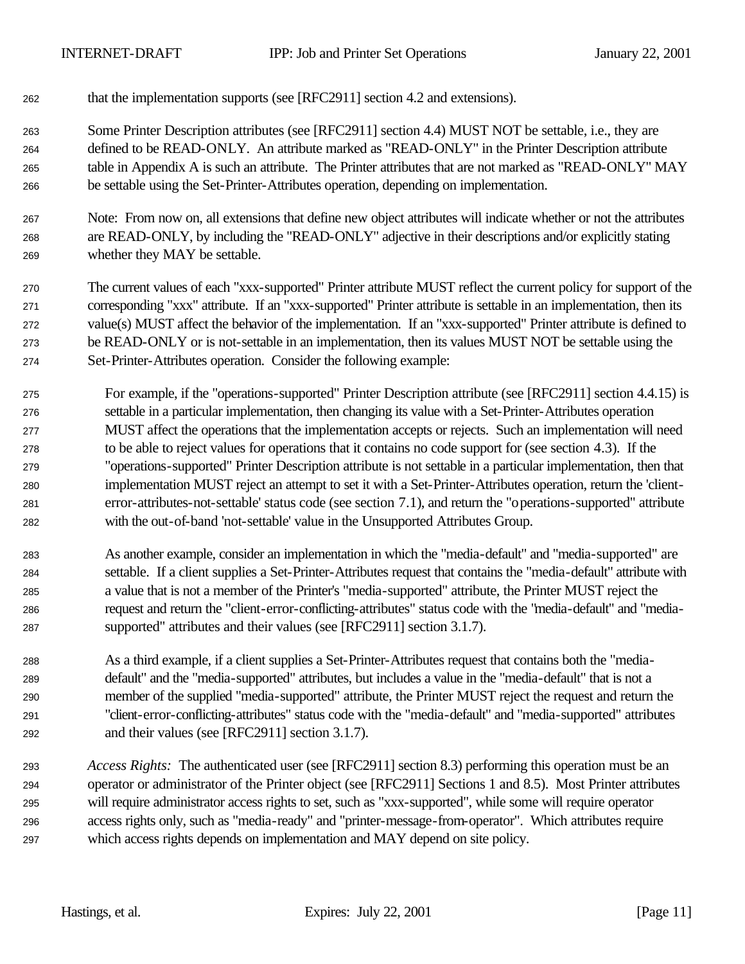that the implementation supports (see [RFC2911] section 4.2 and extensions).

 Some Printer Description attributes (see [RFC2911] section 4.4) MUST NOT be settable, i.e., they are defined to be READ-ONLY. An attribute marked as "READ-ONLY" in the Printer Description attribute table in Appendix A is such an attribute. The Printer attributes that are not marked as "READ-ONLY" MAY be settable using the Set-Printer-Attributes operation, depending on implementation.

- Note: From now on, all extensions that define new object attributes will indicate whether or not the attributes are READ-ONLY, by including the "READ-ONLY" adjective in their descriptions and/or explicitly stating whether they MAY be settable.
- The current values of each "xxx-supported" Printer attribute MUST reflect the current policy for support of the corresponding "xxx" attribute. If an "xxx-supported" Printer attribute is settable in an implementation, then its value(s) MUST affect the behavior of the implementation. If an "xxx-supported" Printer attribute is defined to be READ-ONLY or is not-settable in an implementation, then its values MUST NOT be settable using the Set-Printer-Attributes operation. Consider the following example:
- For example, if the "operations-supported" Printer Description attribute (see [RFC2911] section 4.4.15) is settable in a particular implementation, then changing its value with a Set-Printer-Attributes operation MUST affect the operations that the implementation accepts or rejects. Such an implementation will need to be able to reject values for operations that it contains no code support for (see section 4.3). If the "operations-supported" Printer Description attribute is not settable in a particular implementation, then that implementation MUST reject an attempt to set it with a Set-Printer-Attributes operation, return the 'client- error-attributes-not-settable' status code (see section 7.1), and return the "operations-supported" attribute with the out-of-band 'not-settable' value in the Unsupported Attributes Group.
- As another example, consider an implementation in which the "media-default" and "media-supported" are settable. If a client supplies a Set-Printer-Attributes request that contains the "media-default" attribute with a value that is not a member of the Printer's "media-supported" attribute, the Printer MUST reject the request and return the "client-error-conflicting-attributes" status code with the "media-default" and "media-supported" attributes and their values (see [RFC2911] section 3.1.7).
- As a third example, if a client supplies a Set-Printer-Attributes request that contains both the "media- default" and the "media-supported" attributes, but includes a value in the "media-default" that is not a member of the supplied "media-supported" attribute, the Printer MUST reject the request and return the "client-error-conflicting-attributes" status code with the "media-default" and "media-supported" attributes and their values (see [RFC2911] section 3.1.7).
- *Access Rights:*The authenticated user (see [RFC2911] section 8.3) performing this operation must be an operator or administrator of the Printer object (see [RFC2911] Sections 1 and 8.5). Most Printer attributes will require administrator access rights to set, such as "xxx-supported", while some will require operator access rights only, such as "media-ready" and "printer-message-from-operator". Which attributes require which access rights depends on implementation and MAY depend on site policy.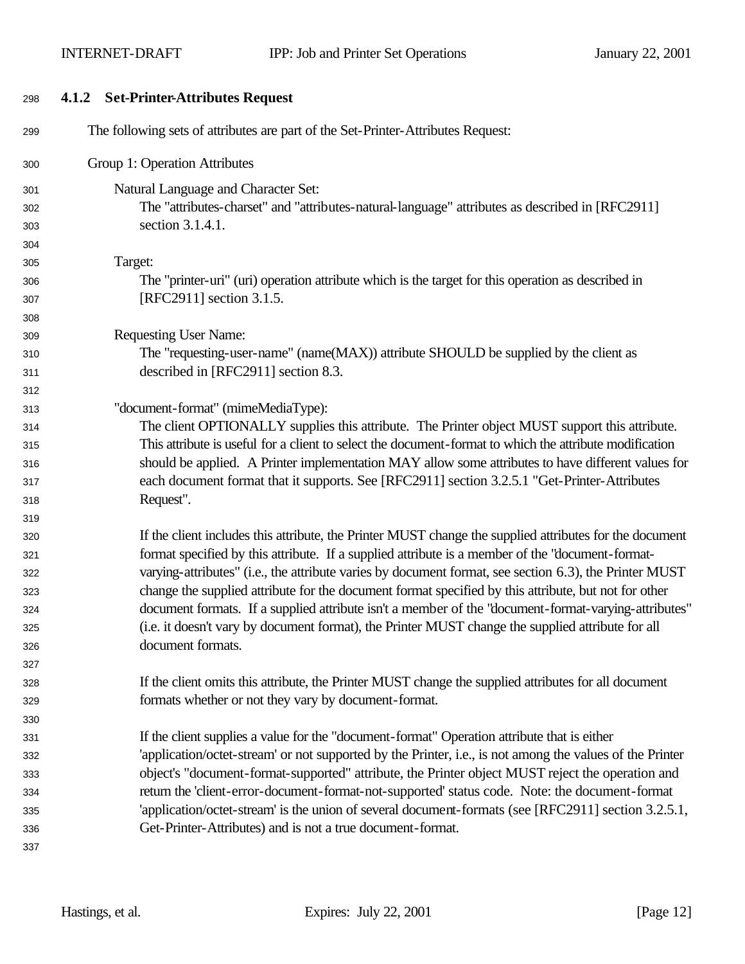| 298 | 4.1.2 Set-Printer-Attributes Request                                                                     |
|-----|----------------------------------------------------------------------------------------------------------|
| 299 | The following sets of attributes are part of the Set-Printer-Attributes Request:                         |
| 300 | Group 1: Operation Attributes                                                                            |
| 301 | Natural Language and Character Set:                                                                      |
| 302 | The "attributes-charset" and "attributes-natural-language" attributes as described in [RFC2911]          |
| 303 | section 3.1.4.1.                                                                                         |
| 304 |                                                                                                          |
| 305 | Target:                                                                                                  |
| 306 | The "printer-uri" (uri) operation attribute which is the target for this operation as described in       |
| 307 | [RFC2911] section 3.1.5.                                                                                 |
| 308 |                                                                                                          |
| 309 | <b>Requesting User Name:</b>                                                                             |
| 310 | The "requesting-user-name" (name(MAX)) attribute SHOULD be supplied by the client as                     |
| 311 | described in [RFC2911] section 8.3.                                                                      |
| 312 |                                                                                                          |
| 313 | "document-format" (mimeMediaType):                                                                       |
| 314 | The client OPTIONALLY supplies this attribute. The Printer object MUST support this attribute.           |
| 315 | This attribute is useful for a client to select the document-format to which the attribute modification  |
| 316 | should be applied. A Printer implementation MAY allow some attributes to have different values for       |
| 317 | each document format that it supports. See [RFC2911] section 3.2.5.1 "Get-Printer-Attributes             |
| 318 | Request".                                                                                                |
| 319 |                                                                                                          |
| 320 | If the client includes this attribute, the Printer MUST change the supplied attributes for the document  |
| 321 | format specified by this attribute. If a supplied attribute is a member of the "document-format-         |
| 322 | varying-attributes" (i.e., the attribute varies by document format, see section 6.3), the Printer MUST   |
| 323 | change the supplied attribute for the document format specified by this attribute, but not for other     |
| 324 | document formats. If a supplied attribute isn't a member of the "document-format-varying-attributes"     |
| 325 | (i.e. it doesn't vary by document format), the Printer MUST change the supplied attribute for all        |
| 326 | document formats.                                                                                        |
| 327 |                                                                                                          |
| 328 | If the client omits this attribute, the Printer MUST change the supplied attributes for all document     |
| 329 | formats whether or not they vary by document-format.                                                     |
| 330 |                                                                                                          |
| 331 | If the client supplies a value for the "document-format" Operation attribute that is either              |
| 332 | 'application/octet-stream' or not supported by the Printer, i.e., is not among the values of the Printer |
| 333 | object's "document-format-supported" attribute, the Printer object MUST reject the operation and         |
| 334 | return the 'client-error-document-format-not-supported' status code. Note: the document-format           |
| 335 | 'application/octet-stream' is the union of several document-formats (see [RFC2911] section 3.2.5.1,      |
| 336 | Get-Printer-Attributes) and is not a true document-format.                                               |
| 337 |                                                                                                          |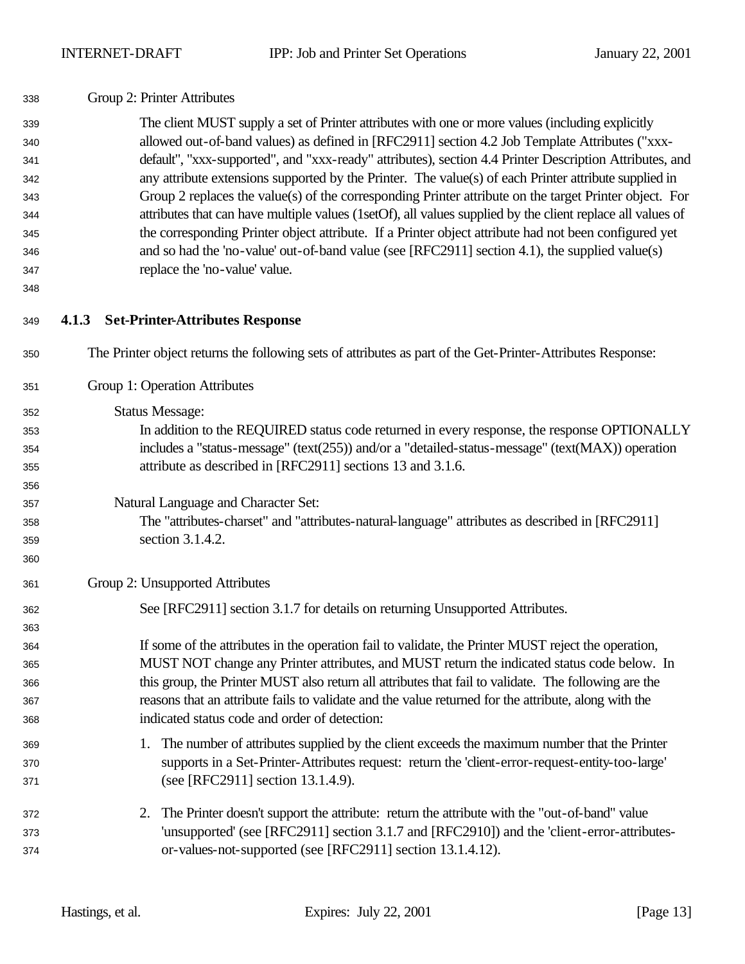Group 2: Printer Attributes

| 339 |       | The client MUST supply a set of Printer attributes with one or more values (including explicitly            |
|-----|-------|-------------------------------------------------------------------------------------------------------------|
| 340 |       | allowed out-of-band values) as defined in [RFC2911] section 4.2 Job Template Attributes ("xxx-              |
| 341 |       | default", "xxx-supported", and "xxx-ready" attributes), section 4.4 Printer Description Attributes, and     |
| 342 |       | any attribute extensions supported by the Printer. The value(s) of each Printer attribute supplied in       |
| 343 |       | Group 2 replaces the value(s) of the corresponding Printer attribute on the target Printer object. For      |
| 344 |       | attributes that can have multiple values (1setOf), all values supplied by the client replace all values of  |
| 345 |       | the corresponding Printer object attribute. If a Printer object attribute had not been configured yet       |
| 346 |       | and so had the 'no-value' out-of-band value (see [RFC2911] section 4.1), the supplied value(s)              |
| 347 |       | replace the 'no-value' value.                                                                               |
| 348 |       |                                                                                                             |
| 349 | 4.1.3 | <b>Set-Printer-Attributes Response</b>                                                                      |
| 350 |       | The Printer object returns the following sets of attributes as part of the Get-Printer-Attributes Response: |
| 351 |       | Group 1: Operation Attributes                                                                               |
| 352 |       | <b>Status Message:</b>                                                                                      |
| 353 |       | In addition to the REQUIRED status code returned in every response, the response OPTIONALLY                 |
| 354 |       | includes a "status-message" (text(255)) and/or a "detailed-status-message" (text(MAX)) operation            |
| 355 |       | attribute as described in [RFC2911] sections 13 and 3.1.6.                                                  |
| 356 |       |                                                                                                             |
| 357 |       | Natural Language and Character Set:                                                                         |
| 358 |       | The "attributes-charset" and "attributes-natural-language" attributes as described in [RFC2911]             |
| 359 |       | section 3.1.4.2.                                                                                            |
| 360 |       |                                                                                                             |
| 361 |       | Group 2: Unsupported Attributes                                                                             |
| 362 |       | See [RFC2911] section 3.1.7 for details on returning Unsupported Attributes.                                |
| 363 |       |                                                                                                             |
| 364 |       | If some of the attributes in the operation fail to validate, the Printer MUST reject the operation,         |
| 365 |       | MUST NOT change any Printer attributes, and MUST return the indicated status code below. In                 |
| 366 |       | this group, the Printer MUST also return all attributes that fail to validate. The following are the        |
| 367 |       | reasons that an attribute fails to validate and the value returned for the attribute, along with the        |
| 368 |       | indicated status code and order of detection:                                                               |
| 369 |       | The number of attributes supplied by the client exceeds the maximum number that the Printer<br>1.           |
| 370 |       | supports in a Set-Printer-Attributes request: return the 'client-error-request-entity-too-large'            |
| 371 |       | (see [RFC2911] section 13.1.4.9).                                                                           |
| 372 |       | The Printer doesn't support the attribute: return the attribute with the "out-of-band" value<br>2.          |
| 373 |       | 'unsupported' (see [RFC2911] section 3.1.7 and [RFC2910]) and the 'client-error-attributes-                 |
| 374 |       | or-values-not-supported (see [RFC2911] section 13.1.4.12).                                                  |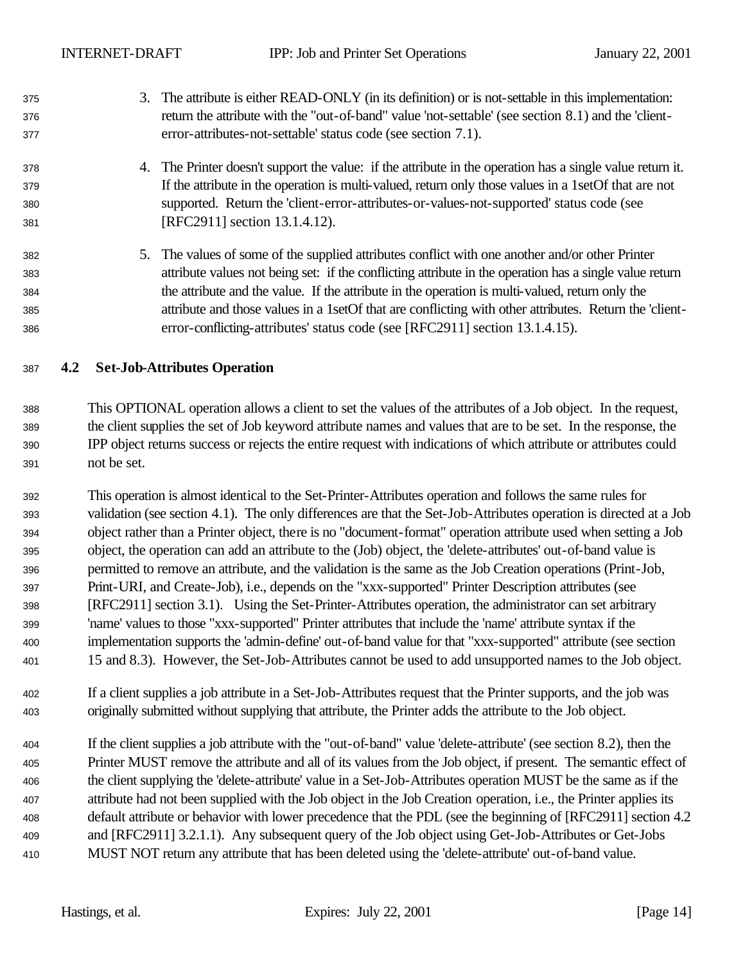- 375 375 3. The attribute is either READ-ONLY (in its definition) or is not-settable in this implementation: return the attribute with the "out-of-band" value 'not-settable' (see section 8.1) and the 'client- error-attributes-not-settable' status code (see section 7.1). 4. The Printer doesn't support the value: if the attribute in the operation has a single value return it. If the attribute in the operation is multi-valued, return only those values in a 1setOf that are not supported. Return the 'client-error-attributes-or-values-not-supported' status code (see [RFC2911] section 13.1.4.12). 5. The values of some of the supplied attributes conflict with one another and/or other Printer attribute values not being set: if the conflicting attribute in the operation has a single value return the attribute and the value. If the attribute in the operation is multi-valued, return only the attribute and those values in a 1setOf that are conflicting with other attributes. Return the 'client-error-conflicting-attributes' status code (see [RFC2911] section 13.1.4.15).
- **4.2 Set-Job-Attributes Operation**

 This OPTIONAL operation allows a client to set the values of the attributes of a Job object. In the request, the client supplies the set of Job keyword attribute names and values that are to be set. In the response, the IPP object returns success or rejects the entire request with indications of which attribute or attributes could not be set.

 This operation is almost identical to the Set-Printer-Attributes operation and follows the same rules for validation (see section 4.1). The only differences are that the Set-Job-Attributes operation is directed at a Job object rather than a Printer object, there is no "document-format" operation attribute used when setting a Job object, the operation can add an attribute to the (Job) object, the 'delete-attributes' out-of-band value is permitted to remove an attribute, and the validation is the same as the Job Creation operations (Print-Job, Print-URI, and Create-Job), i.e., depends on the "xxx-supported" Printer Description attributes (see [RFC2911] section 3.1). Using the Set-Printer-Attributes operation, the administrator can set arbitrary 'name' values to those "xxx-supported" Printer attributes that include the 'name' attribute syntax if the implementation supports the 'admin-define' out-of-band value for that "xxx-supported" attribute (see section 15 and 8.3). However, the Set-Job-Attributes cannot be used to add unsupported names to the Job object.

 If a client supplies a job attribute in a Set-Job-Attributes request that the Printer supports, and the job was originally submitted without supplying that attribute, the Printer adds the attribute to the Job object.

 If the client supplies a job attribute with the "out-of-band" value 'delete-attribute' (see section 8.2), then the Printer MUST remove the attribute and all of its values from the Job object, if present. The semantic effect of the client supplying the 'delete-attribute' value in a Set-Job-Attributes operation MUST be the same as if the attribute had not been supplied with the Job object in the Job Creation operation, i.e., the Printer applies its default attribute or behavior with lower precedence that the PDL (see the beginning of [RFC2911] section 4.2 and [RFC2911] 3.2.1.1). Any subsequent query of the Job object using Get-Job-Attributes or Get-Jobs MUST NOT return any attribute that has been deleted using the 'delete-attribute' out-of-band value.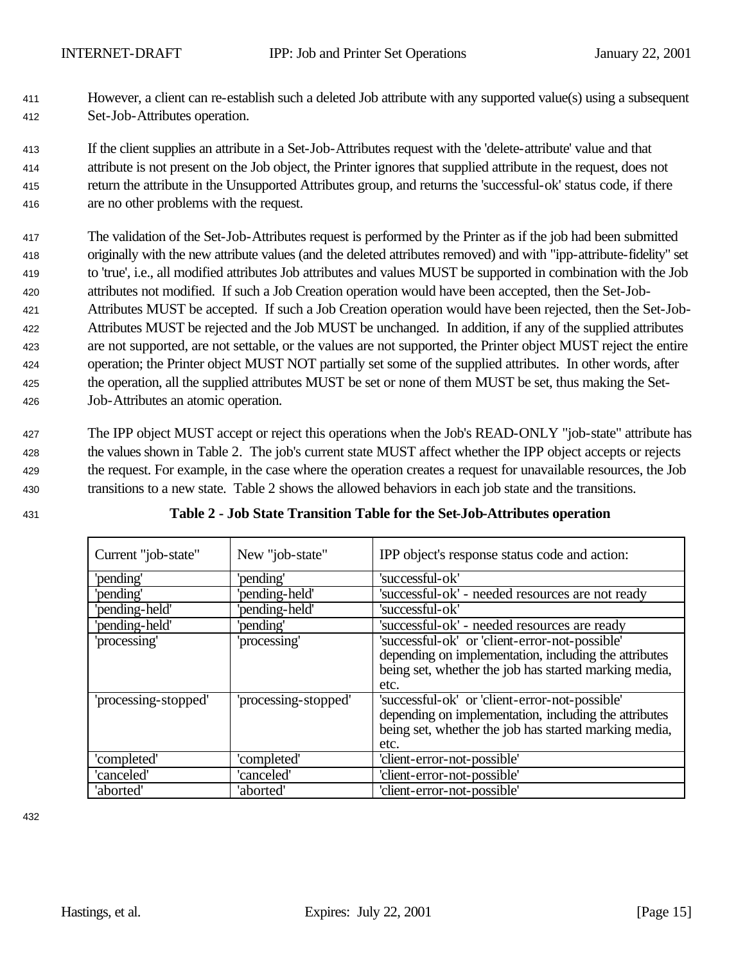<sup>411</sup> However, a client can re-establish such a deleted Job attribute with any supported value(s) using a subsequent <sup>412</sup> Set-Job-Attributes operation.

 If the client supplies an attribute in a Set-Job-Attributes request with the 'delete-attribute' value and that attribute is not present on the Job object, the Printer ignores that supplied attribute in the request, does not return the attribute in the Unsupported Attributes group, and returns the 'successful-ok' status code, if there are no other problems with the request.

 The validation of the Set-Job-Attributes request is performed by the Printer as if the job had been submitted originally with the new attribute values (and the deleted attributes removed) and with "ipp-attribute-fidelity" set to 'true', i.e., all modified attributes Job attributes and values MUST be supported in combination with the Job attributes not modified. If such a Job Creation operation would have been accepted, then the Set-Job- Attributes MUST be accepted. If such a Job Creation operation would have been rejected, then the Set-Job- Attributes MUST be rejected and the Job MUST be unchanged. In addition, if any of the supplied attributes are not supported, are not settable, or the values are not supported, the Printer object MUST reject the entire operation; the Printer object MUST NOT partially set some of the supplied attributes. In other words, after the operation, all the supplied attributes MUST be set or none of them MUST be set, thus making the Set-Job-Attributes an atomic operation.

 The IPP object MUST accept or reject this operations when the Job's READ-ONLY "job-state" attribute has the values shown in Table 2. The job's current state MUST affect whether the IPP object accepts or rejects the request. For example, in the case where the operation creates a request for unavailable resources, the Job transitions to a new state. Table 2 shows the allowed behaviors in each job state and the transitions.

| ۰.<br>۰.<br>۰.<br>M. |  |
|----------------------|--|
|----------------------|--|

| Current "job-state"  | New "job-state"      | IPP object's response status code and action:                                                                                                                            |
|----------------------|----------------------|--------------------------------------------------------------------------------------------------------------------------------------------------------------------------|
| 'pending'            | 'pending'            | 'successful-ok'                                                                                                                                                          |
| 'pending'            | 'pending-held'       | 'successful-ok' - needed resources are not ready                                                                                                                         |
| 'pending-held'       | 'pending-held'       | 'successful-ok'                                                                                                                                                          |
| 'pending-held'       | 'pending'            | 'successful-ok' - needed resources are ready                                                                                                                             |
| 'processing'         | 'processing'         | 'successful-ok' or 'client-error-not-possible'<br>depending on implementation, including the attributes<br>being set, whether the job has started marking media,<br>etc. |
| 'processing-stopped' | 'processing-stopped' | 'successful-ok' or 'client-error-not-possible'<br>depending on implementation, including the attributes<br>being set, whether the job has started marking media,<br>etc. |
| 'completed'          | 'completed'          | 'client-error-not-possible'                                                                                                                                              |
| 'canceled'           | 'canceled'           | 'client-error-not-possible'                                                                                                                                              |
| 'aborted'            | 'aborted'            | 'client-error-not-possible'                                                                                                                                              |

<sup>431</sup> **Table 2 - Job State Transition Table for the Set-Job-Attributes operation**

432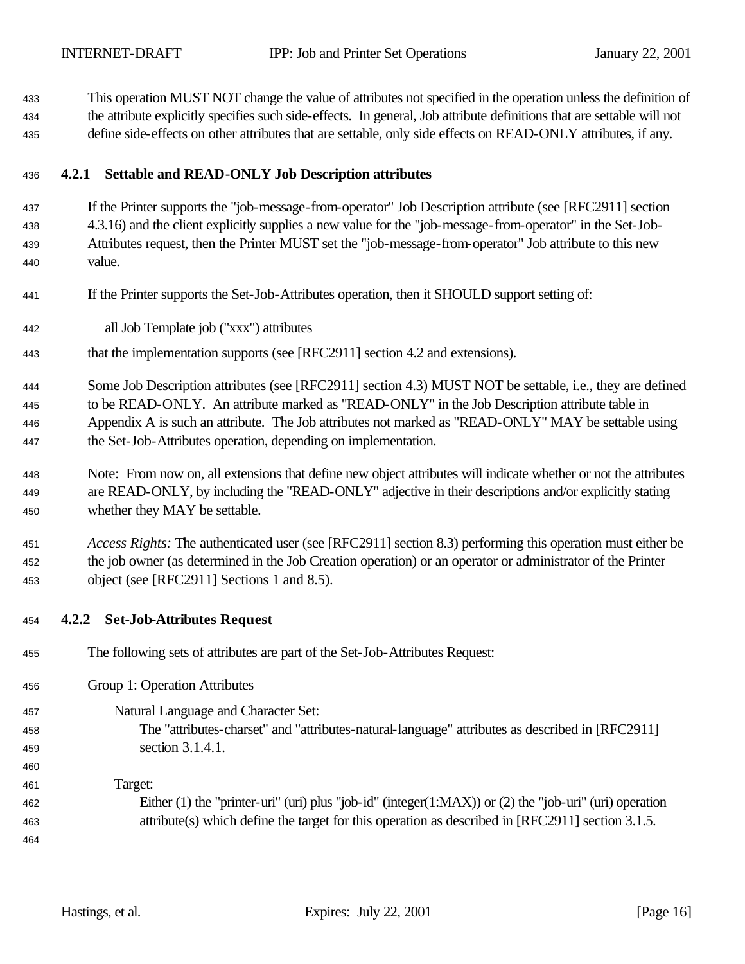This operation MUST NOT change the value of attributes not specified in the operation unless the definition of the attribute explicitly specifies such side-effects. In general, Job attribute definitions that are settable will not define side-effects on other attributes that are settable, only side effects on READ-ONLY attributes, if any.

## **4.2.1 Settable and READ-ONLY Job Description attributes**

 If the Printer supports the "job-message-from-operator" Job Description attribute (see [RFC2911] section 4.3.16) and the client explicitly supplies a new value for the "job-message-from-operator" in the Set-Job- Attributes request, then the Printer MUST set the "job-message-from-operator" Job attribute to this new value.

- If the Printer supports the Set-Job-Attributes operation, then it SHOULD support setting of:
- all Job Template job ("xxx") attributes
- that the implementation supports (see [RFC2911] section 4.2 and extensions).

 Some Job Description attributes (see [RFC2911] section 4.3) MUST NOT be settable, i.e., they are defined to be READ-ONLY. An attribute marked as "READ-ONLY" in the Job Description attribute table in Appendix A is such an attribute. The Job attributes not marked as "READ-ONLY" MAY be settable using the Set-Job-Attributes operation, depending on implementation.

- Note: From now on, all extensions that define new object attributes will indicate whether or not the attributes are READ-ONLY, by including the "READ-ONLY" adjective in their descriptions and/or explicitly stating whether they MAY be settable.
- *Access Rights:* The authenticated user (see [RFC2911] section 8.3) performing this operation must either be the job owner (as determined in the Job Creation operation) or an operator or administrator of the Printer object (see [RFC2911] Sections 1 and 8.5).
- **4.2.2 Set-Job-Attributes Request**
- The following sets of attributes are part of the Set-Job-Attributes Request:
- Group 1: Operation Attributes
- Natural Language and Character Set:
- The "attributes-charset" and "attributes-natural-language" attributes as described in [RFC2911] section 3.1.4.1.

 Target: Either (1) the "printer-uri" (uri) plus "job-id" (integer(1:MAX)) or (2) the "job-uri" (uri) operation attribute(s) which define the target for this operation as described in [RFC2911] section 3.1.5.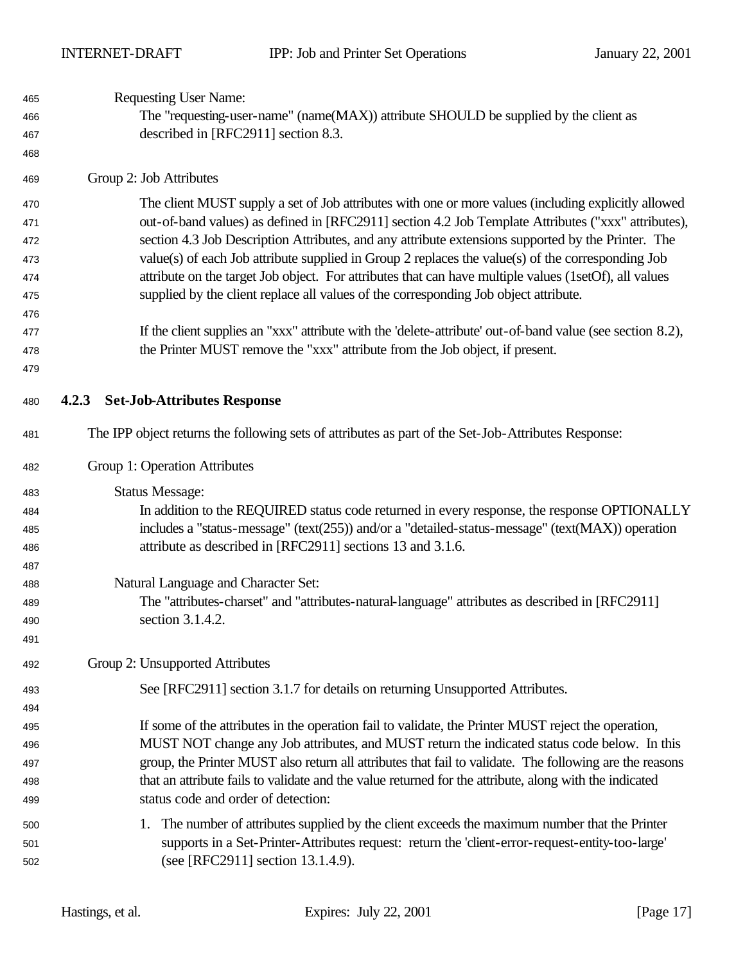| 465        | <b>Requesting User Name:</b>                                                                               |
|------------|------------------------------------------------------------------------------------------------------------|
| 466        | The "requesting-user-name" (name(MAX)) attribute SHOULD be supplied by the client as                       |
| 467        | described in [RFC2911] section 8.3.                                                                        |
| 468        |                                                                                                            |
| 469        | Group 2: Job Attributes                                                                                    |
| 470        | The client MUST supply a set of Job attributes with one or more values (including explicitly allowed       |
| 471        | out-of-band values) as defined in [RFC2911] section 4.2 Job Template Attributes ("xxx" attributes),        |
| 472        | section 4.3 Job Description Attributes, and any attribute extensions supported by the Printer. The         |
| 473        | value(s) of each Job attribute supplied in Group 2 replaces the value(s) of the corresponding Job          |
| 474        | attribute on the target Job object. For attributes that can have multiple values (1setOf), all values      |
| 475        | supplied by the client replace all values of the corresponding Job object attribute.                       |
| 476        |                                                                                                            |
| 477        | If the client supplies an "xxx" attribute with the 'delete-attribute' out-of-band value (see section 8.2), |
| 478        | the Printer MUST remove the "xxx" attribute from the Job object, if present.                               |
| 479        |                                                                                                            |
| 480        | <b>Set-Job-Attributes Response</b><br>4.2.3                                                                |
| 481        | The IPP object returns the following sets of attributes as part of the Set-Job-Attributes Response:        |
| 482        | Group 1: Operation Attributes                                                                              |
|            | <b>Status Message:</b>                                                                                     |
| 483<br>484 | In addition to the REQUIRED status code returned in every response, the response OPTIONALLY                |
| 485        | includes a "status-message" (text(255)) and/or a "detailed-status-message" (text(MAX)) operation           |
| 486        | attribute as described in [RFC2911] sections 13 and 3.1.6.                                                 |
| 487        |                                                                                                            |
| 488        | Natural Language and Character Set:                                                                        |
| 489        | The "attributes-charset" and "attributes-natural-language" attributes as described in [RFC2911]            |
| 490        | section 3.1.4.2.                                                                                           |
| 491        |                                                                                                            |
| 492        | Group 2: Unsupported Attributes                                                                            |
| 493        | See [RFC2911] section 3.1.7 for details on returning Unsupported Attributes.                               |
| 494        |                                                                                                            |
| 495        | If some of the attributes in the operation fail to validate, the Printer MUST reject the operation,        |
| 496        | MUST NOT change any Job attributes, and MUST return the indicated status code below. In this               |
| 497        | group, the Printer MUST also return all attributes that fail to validate. The following are the reasons    |
| 498        | that an attribute fails to validate and the value returned for the attribute, along with the indicated     |
| 499        | status code and order of detection:                                                                        |
| 500        | The number of attributes supplied by the client exceeds the maximum number that the Printer<br>1.          |
| 501        | supports in a Set-Printer-Attributes request: return the 'client-error-request-entity-too-large'           |
| 502        | (see [RFC2911] section 13.1.4.9).                                                                          |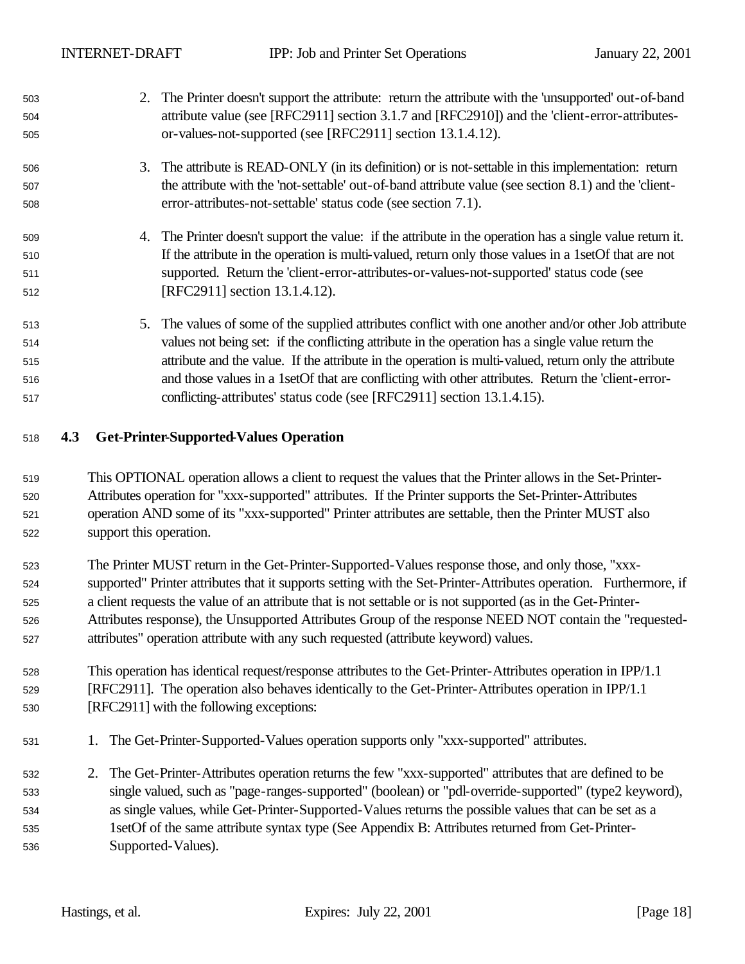| 503 | 2. The Printer doesn't support the attribute: return the attribute with the 'unsupported' out-of-band     |
|-----|-----------------------------------------------------------------------------------------------------------|
| 504 | attribute value (see [RFC2911] section 3.1.7 and [RFC2910]) and the 'client-error-attributes-             |
| 505 | or-values-not-supported (see [RFC2911] section 13.1.4.12).                                                |
| 506 | 3. The attribute is READ-ONLY (in its definition) or is not-settable in this implementation: return       |
| 507 | the attribute with the 'not-settable' out-of-band attribute value (see section 8.1) and the 'client-      |
| 508 | error-attributes-not-settable' status code (see section 7.1).                                             |
| 509 | 4. The Printer doesn't support the value: if the attribute in the operation has a single value return it. |
| 510 | If the attribute in the operation is multi-valued, return only those values in a 1 set Of that are not    |
| 511 | supported. Return the 'client-error-attributes-or-values-not-supported' status code (see                  |
| 512 | [RFC2911] section 13.1.4.12).                                                                             |
| 513 | 5. The values of some of the supplied attributes conflict with one another and/or other Job attribute     |
| 514 | values not being set: if the conflicting attribute in the operation has a single value return the         |
| 515 | attribute and the value. If the attribute in the operation is multi-valued, return only the attribute     |
| 516 | and those values in a 1setOf that are conflicting with other attributes. Return the 'client-error-        |
| 517 | conflicting-attributes' status code (see [RFC2911] section 13.1.4.15).                                    |

## **4.3 Get-Printer-Supported-Values Operation**

 This OPTIONAL operation allows a client to request the values that the Printer allows in the Set-Printer- Attributes operation for "xxx-supported" attributes. If the Printer supports the Set-Printer-Attributes operation AND some of its "xxx-supported" Printer attributes are settable, then the Printer MUST also support this operation.

 The Printer MUST return in the Get-Printer-Supported-Values response those, and only those, "xxx- supported" Printer attributes that it supports setting with the Set-Printer-Attributes operation. Furthermore, if a client requests the value of an attribute that is not settable or is not supported (as in the Get-Printer- Attributes response), the Unsupported Attributes Group of the response NEED NOT contain the "requested-attributes" operation attribute with any such requested (attribute keyword) values.

- This operation has identical request/response attributes to the Get-Printer-Attributes operation in IPP/1.1 [RFC2911]. The operation also behaves identically to the Get-Printer-Attributes operation in IPP/1.1 [RFC2911] with the following exceptions:
- 1. The Get-Printer-Supported-Values operation supports only "xxx-supported" attributes.
- 2. The Get-Printer-Attributes operation returns the few "xxx-supported" attributes that are defined to be single valued, such as "page-ranges-supported" (boolean) or "pdl-override-supported" (type2 keyword), as single values, while Get-Printer-Supported-Values returns the possible values that can be set as a 1setOf of the same attribute syntax type (See Appendix B: Attributes returned from Get-Printer-Supported-Values).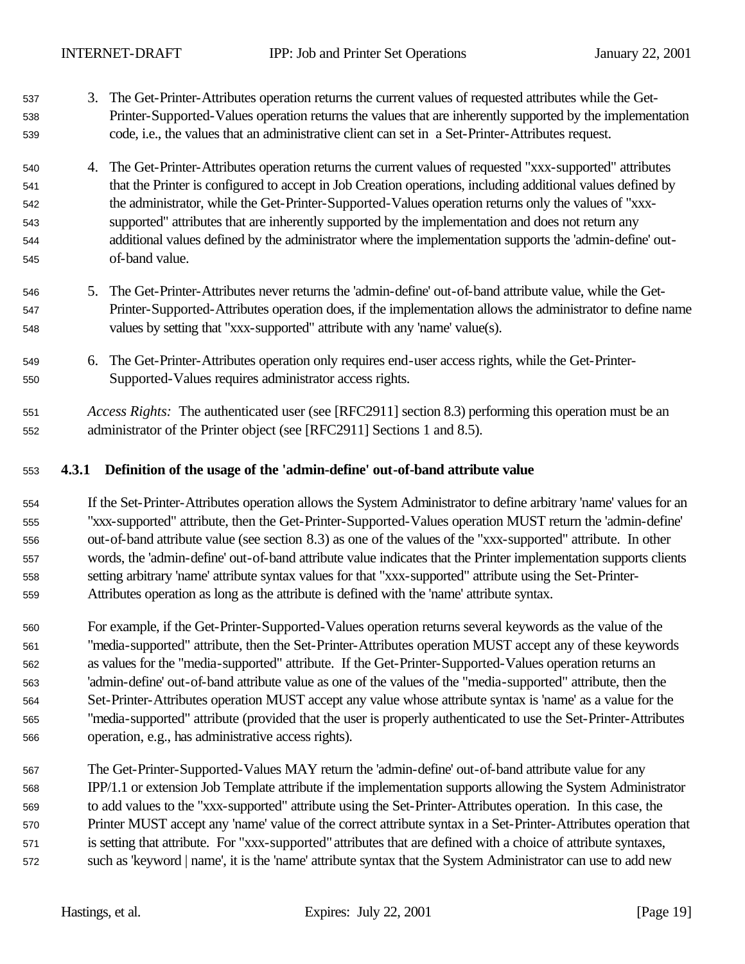- 3. The Get-Printer-Attributes operation returns the current values of requested attributes while the Get- Printer-Supported-Values operation returns the values that are inherently supported by the implementation code, i.e., the values that an administrative client can set in a Set-Printer-Attributes request.
- 4. The Get-Printer-Attributes operation returns the current values of requested "xxx-supported" attributes that the Printer is configured to accept in Job Creation operations, including additional values defined by the administrator, while the Get-Printer-Supported-Values operation returns only the values of "xxx- supported" attributes that are inherently supported by the implementation and does not return any additional values defined by the administrator where the implementation supports the 'admin-define' out-of-band value.
- 5. The Get-Printer-Attributes never returns the 'admin-define' out-of-band attribute value, while the Get- Printer-Supported-Attributes operation does, if the implementation allows the administrator to define name values by setting that "xxx-supported" attribute with any 'name' value(s).
- 6. The Get-Printer-Attributes operation only requires end-user access rights, while the Get-Printer-Supported-Values requires administrator access rights.
- *Access Rights:*The authenticated user (see [RFC2911] section 8.3) performing this operation must be an administrator of the Printer object (see [RFC2911] Sections 1 and 8.5).

## **4.3.1 Definition of the usage of the 'admin-define' out-of-band attribute value**

 If the Set-Printer-Attributes operation allows the System Administrator to define arbitrary 'name' values for an "xxx-supported" attribute, then the Get-Printer-Supported-Values operation MUST return the 'admin-define' out-of-band attribute value (see section 8.3) as one of the values of the "xxx-supported" attribute. In other words, the 'admin-define' out-of-band attribute value indicates that the Printer implementation supports clients setting arbitrary 'name' attribute syntax values for that "xxx-supported" attribute using the Set-Printer-Attributes operation as long as the attribute is defined with the 'name' attribute syntax.

- For example, if the Get-Printer-Supported-Values operation returns several keywords as the value of the "media-supported" attribute, then the Set-Printer-Attributes operation MUST accept any of these keywords as values for the "media-supported" attribute. If the Get-Printer-Supported-Values operation returns an 'admin-define' out-of-band attribute value as one of the values of the "media-supported" attribute, then the Set-Printer-Attributes operation MUST accept any value whose attribute syntax is 'name' as a value for the "media-supported" attribute (provided that the user is properly authenticated to use the Set-Printer-Attributes operation, e.g., has administrative access rights).
- The Get-Printer-Supported-Values MAY return the 'admin-define' out-of-band attribute value for any IPP/1.1 or extension Job Template attribute if the implementation supports allowing the System Administrator to add values to the "xxx-supported" attribute using the Set-Printer-Attributes operation. In this case, the Printer MUST accept any 'name' value of the correct attribute syntax in a Set-Printer-Attributes operation that is setting that attribute. For "xxx-supported" attributes that are defined with a choice of attribute syntaxes, such as 'keyword | name', it is the 'name' attribute syntax that the System Administrator can use to add new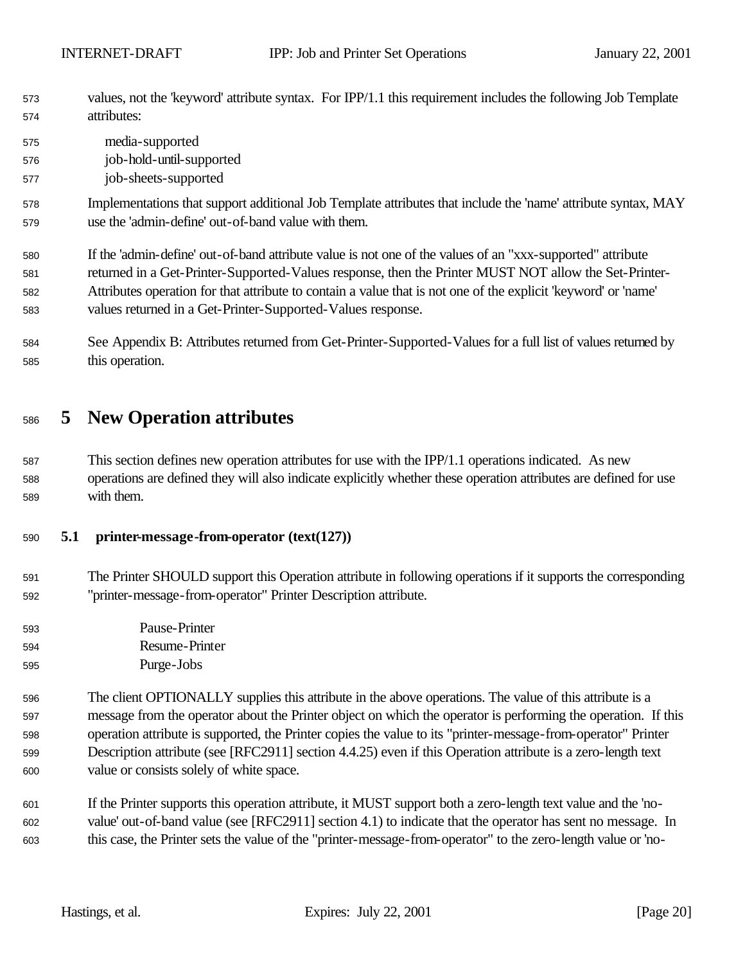| 573 | values, not the 'keyword' attribute syntax. For IPP $/1.1$ this requirement includes the following Job Template |
|-----|-----------------------------------------------------------------------------------------------------------------|
| 574 | attributes:                                                                                                     |
| 575 | media-supported                                                                                                 |

- job-hold-until-supported
- job-sheets-supported
- Implementations that support additional Job Template attributes that include the 'name' attribute syntax, MAY use the 'admin-define' out-of-band value with them.
- If the 'admin-define' out-of-band attribute value is not one of the values of an "xxx-supported" attribute returned in a Get-Printer-Supported-Values response, then the Printer MUST NOT allow the Set-Printer- Attributes operation for that attribute to contain a value that is not one of the explicit 'keyword' or 'name' values returned in a Get-Printer-Supported-Values response.
- See Appendix B: Attributes returned from Get-Printer-Supported-Values for a full list of values returned by this operation.

## **5 New Operation attributes**

 This section defines new operation attributes for use with the IPP/1.1 operations indicated. As new operations are defined they will also indicate explicitly whether these operation attributes are defined for use with them.

## **5.1 printer-message-from-operator (text(127))**

- The Printer SHOULD support this Operation attribute in following operations if it supports the corresponding "printer-message-from-operator" Printer Description attribute.
- Pause-Printer Resume-Printer
- Purge-Jobs

 The client OPTIONALLY supplies this attribute in the above operations. The value of this attribute is a message from the operator about the Printer object on which the operator is performing the operation. If this operation attribute is supported, the Printer copies the value to its "printer-message-from-operator" Printer Description attribute (see [RFC2911] section 4.4.25) even if this Operation attribute is a zero-length text value or consists solely of white space.

 If the Printer supports this operation attribute, it MUST support both a zero-length text value and the 'no- value' out-of-band value (see [RFC2911] section 4.1) to indicate that the operator has sent no message. In this case, the Printer sets the value of the "printer-message-from-operator" to the zero-length value or 'no-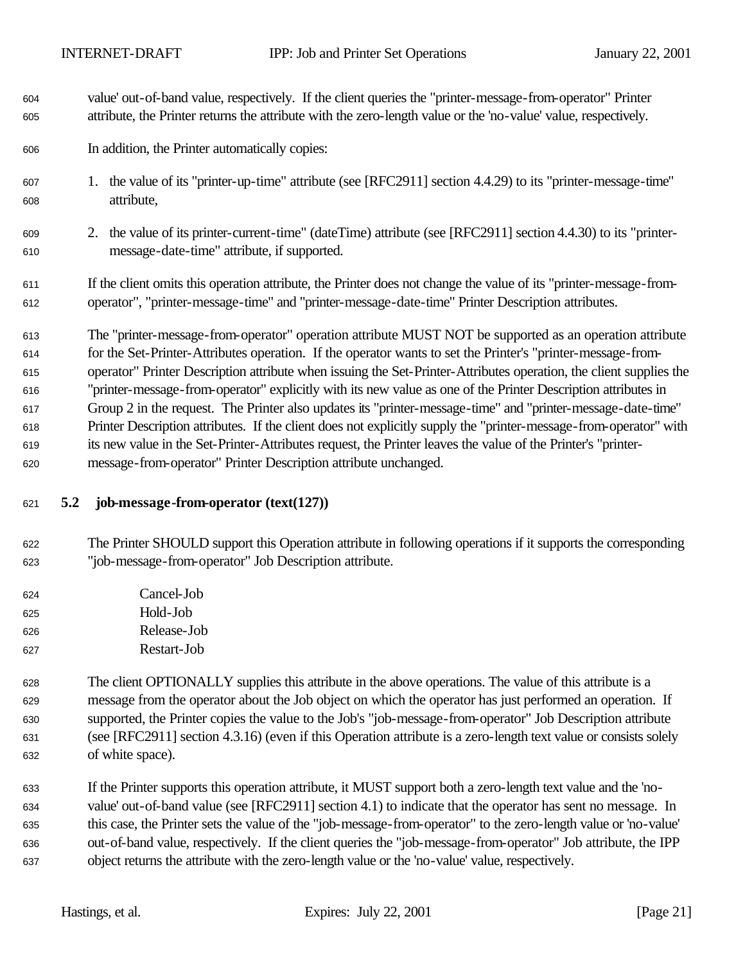- value' out-of-band value, respectively. If the client queries the "printer-message-from-operator" Printer attribute, the Printer returns the attribute with the zero-length value or the 'no-value' value, respectively.
- In addition, the Printer automatically copies:
- 1. the value of its "printer-up-time" attribute (see [RFC2911] section 4.4.29) to its "printer-message-time" attribute,
- 2. the value of its printer-current-time" (dateTime) attribute (see [RFC2911] section 4.4.30) to its "printer-message-date-time" attribute, if supported.
- If the client omits this operation attribute, the Printer does not change the value of its "printer-message-from-operator", "printer-message-time" and "printer-message-date-time" Printer Description attributes.
- The "printer-message-from-operator" operation attribute MUST NOT be supported as an operation attribute for the Set-Printer-Attributes operation. If the operator wants to set the Printer's "printer-message-from- operator" Printer Description attribute when issuing the Set-Printer-Attributes operation, the client supplies the "printer-message-from-operator" explicitly with its new value as one of the Printer Description attributes in Group 2 in the request. The Printer also updates its "printer-message-time" and "printer-message-date-time" Printer Description attributes. If the client does not explicitly supply the "printer-message-from-operator" with its new value in the Set-Printer-Attributes request, the Printer leaves the value of the Printer's "printer-message-from-operator" Printer Description attribute unchanged.
- **5.2 job-message-from-operator (text(127))**
- The Printer SHOULD support this Operation attribute in following operations if it supports the corresponding "job-message-from-operator" Job Description attribute.
- Cancel-Job Hold-Job Release-Job Restart-Job
- The client OPTIONALLY supplies this attribute in the above operations. The value of this attribute is a message from the operator about the Job object on which the operator has just performed an operation. If supported, the Printer copies the value to the Job's "job-message-from-operator" Job Description attribute (see [RFC2911] section 4.3.16) (even if this Operation attribute is a zero-length text value or consists solely of white space).
- If the Printer supports this operation attribute, it MUST support both a zero-length text value and the 'no- value' out-of-band value (see [RFC2911] section 4.1) to indicate that the operator has sent no message. In this case, the Printer sets the value of the "job-message-from-operator" to the zero-length value or 'no-value' out-of-band value, respectively. If the client queries the "job-message-from-operator" Job attribute, the IPP object returns the attribute with the zero-length value or the 'no-value' value, respectively.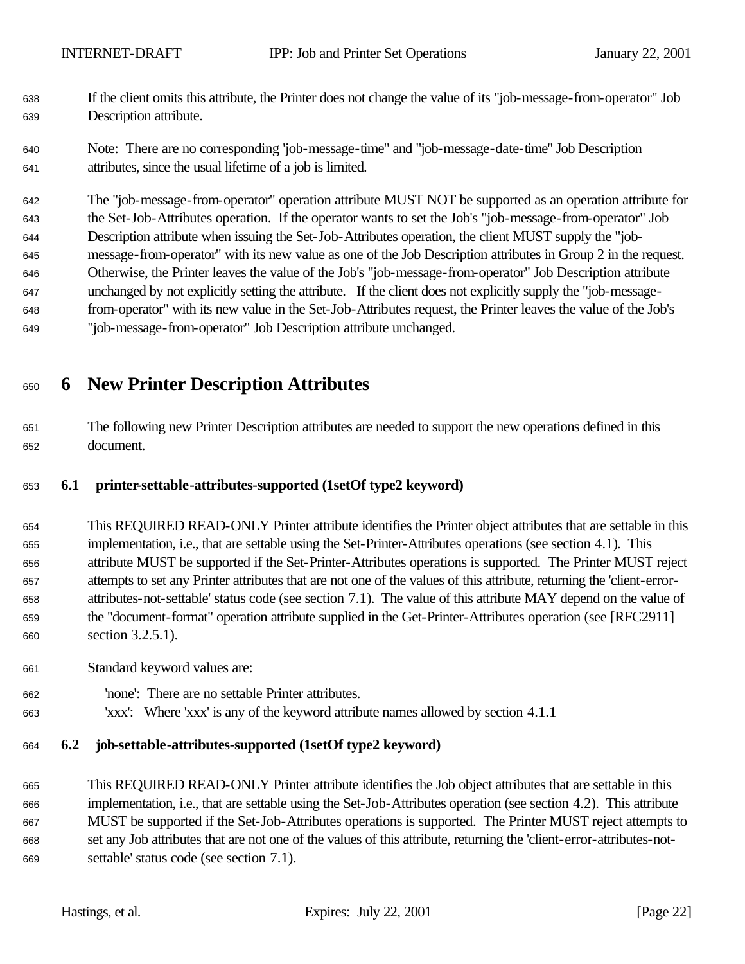- If the client omits this attribute, the Printer does not change the value of its "job-message-from-operator" Job Description attribute.
- Note: There are no corresponding 'job-message-time" and "job-message-date-time" Job Description attributes, since the usual lifetime of a job is limited.

 The "job-message-from-operator" operation attribute MUST NOT be supported as an operation attribute for the Set-Job-Attributes operation. If the operator wants to set the Job's "job-message-from-operator" Job Description attribute when issuing the Set-Job-Attributes operation, the client MUST supply the "job- message-from-operator" with its new value as one of the Job Description attributes in Group 2 in the request. Otherwise, the Printer leaves the value of the Job's "job-message-from-operator" Job Description attribute unchanged by not explicitly setting the attribute. If the client does not explicitly supply the "job-message- from-operator" with its new value in the Set-Job-Attributes request, the Printer leaves the value of the Job's "job-message-from-operator" Job Description attribute unchanged.

## **6 New Printer Description Attributes**

 The following new Printer Description attributes are needed to support the new operations defined in this document.

## **6.1 printer-settable-attributes-supported (1setOf type2 keyword)**

- This REQUIRED READ-ONLY Printer attribute identifies the Printer object attributes that are settable in this implementation, i.e., that are settable using the Set-Printer-Attributes operations (see section 4.1). This attribute MUST be supported if the Set-Printer-Attributes operations is supported. The Printer MUST reject attempts to set any Printer attributes that are not one of the values of this attribute, returning the 'client-error- attributes-not-settable' status code (see section 7.1). The value of this attribute MAY depend on the value of the "document-format" operation attribute supplied in the Get-Printer-Attributes operation (see [RFC2911] section 3.2.5.1).
- Standard keyword values are:
- 'none': There are no settable Printer attributes.
- 'xxx': Where 'xxx' is any of the keyword attribute names allowed by section 4.1.1

## **6.2 job-settable-attributes-supported (1setOf type2 keyword)**

 This REQUIRED READ-ONLY Printer attribute identifies the Job object attributes that are settable in this implementation, i.e., that are settable using the Set-Job-Attributes operation (see section 4.2). This attribute MUST be supported if the Set-Job-Attributes operations is supported. The Printer MUST reject attempts to set any Job attributes that are not one of the values of this attribute, returning the 'client-error-attributes-not-settable' status code (see section 7.1).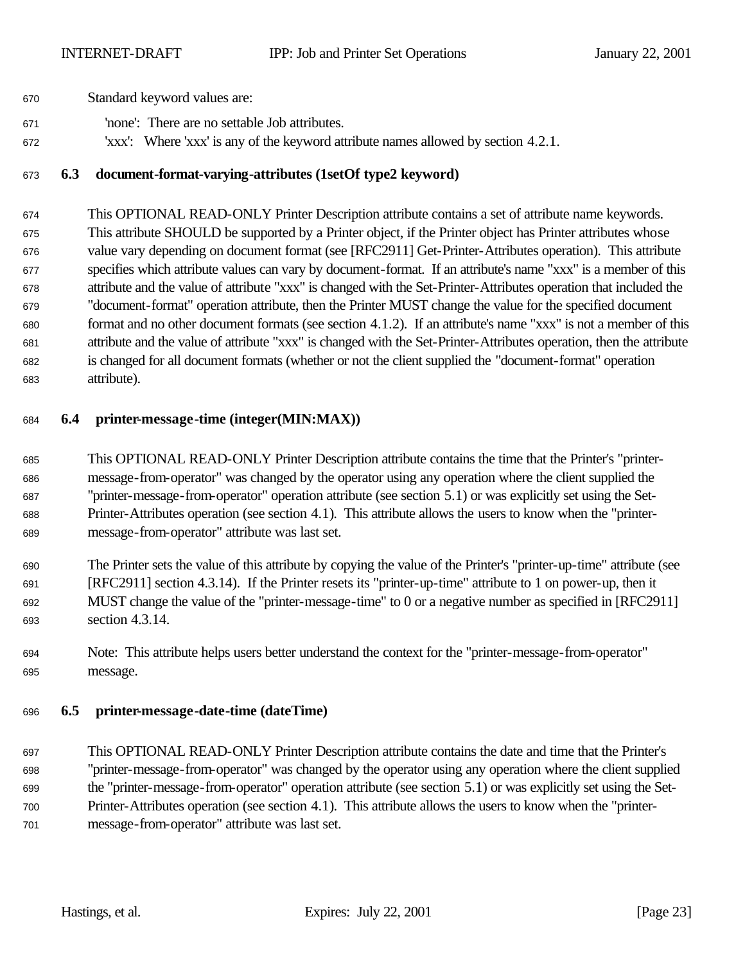Standard keyword values are:

- 'none': There are no settable Job attributes.
- 'xxx': Where 'xxx' is any of the keyword attribute names allowed by section 4.2.1.

#### **6.3 document-format-varying-attributes (1setOf type2 keyword)**

 This OPTIONAL READ-ONLY Printer Description attribute contains a set of attribute name keywords. This attribute SHOULD be supported by a Printer object, if the Printer object has Printer attributes whose value vary depending on document format (see [RFC2911] Get-Printer-Attributes operation). This attribute specifies which attribute values can vary by document-format. If an attribute's name "xxx" is a member of this attribute and the value of attribute "xxx" is changed with the Set-Printer-Attributes operation that included the "document-format" operation attribute, then the Printer MUST change the value for the specified document format and no other document formats (see section 4.1.2). If an attribute's name "xxx" is not a member of this attribute and the value of attribute "xxx" is changed with the Set-Printer-Attributes operation, then the attribute is changed for all document formats (whether or not the client supplied the "document-format" operation attribute).

## **6.4 printer-message-time (integer(MIN:MAX))**

 This OPTIONAL READ-ONLY Printer Description attribute contains the time that the Printer's "printer- message-from-operator" was changed by the operator using any operation where the client supplied the "printer-message-from-operator" operation attribute (see section 5.1) or was explicitly set using the Set- Printer-Attributes operation (see section 4.1). This attribute allows the users to know when the "printer-message-from-operator" attribute was last set.

 The Printer sets the value of this attribute by copying the value of the Printer's "printer-up-time" attribute (see [RFC2911] section 4.3.14). If the Printer resets its "printer-up-time" attribute to 1 on power-up, then it MUST change the value of the "printer-message-time" to 0 or a negative number as specified in [RFC2911] section 4.3.14.

 Note: This attribute helps users better understand the context for the "printer-message-from-operator" message.

#### **6.5 printer-message-date-time (dateTime)**

 This OPTIONAL READ-ONLY Printer Description attribute contains the date and time that the Printer's "printer-message-from-operator" was changed by the operator using any operation where the client supplied the "printer-message-from-operator" operation attribute (see section 5.1) or was explicitly set using the Set- Printer-Attributes operation (see section 4.1). This attribute allows the users to know when the "printer-message-from-operator" attribute was last set.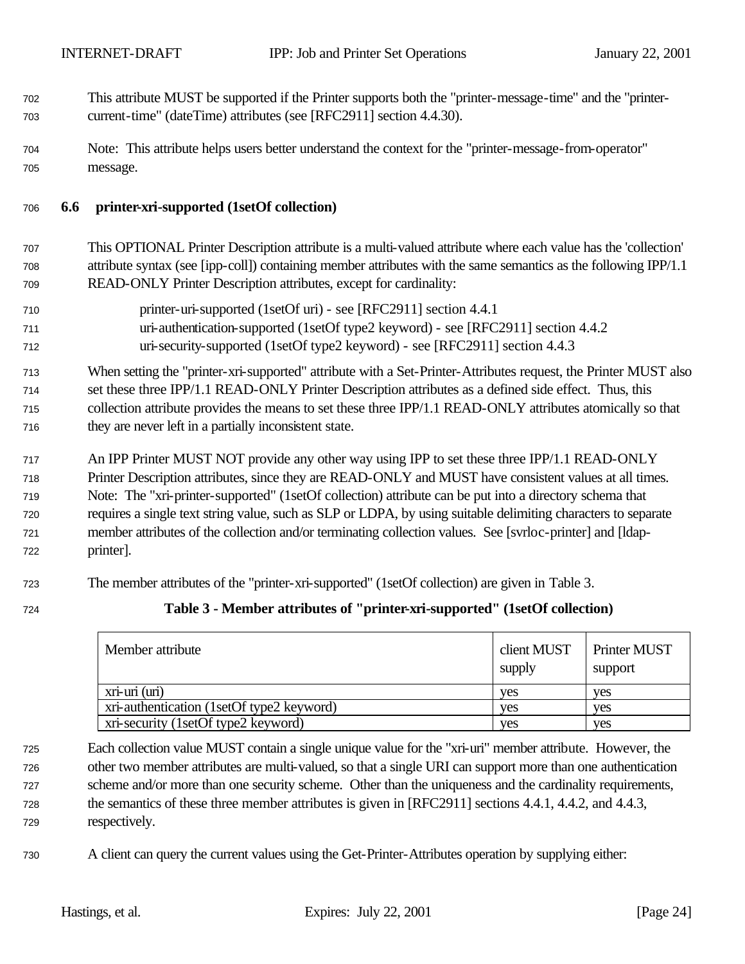- This attribute MUST be supported if the Printer supports both the "printer-message-time" and the "printer-current-time" (dateTime) attributes (see [RFC2911] section 4.4.30).
- Note: This attribute helps users better understand the context for the "printer-message-from-operator" message.

## **6.6 printer-xri-supported (1setOf collection)**

 This OPTIONAL Printer Description attribute is a multi-valued attribute where each value has the 'collection' attribute syntax (see [ipp-coll]) containing member attributes with the same semantics as the following IPP/1.1 READ-ONLY Printer Description attributes, except for cardinality:

 printer-uri-supported (1setOf uri) - see [RFC2911] section 4.4.1 uri-authentication-supported (1setOf type2 keyword) - see [RFC2911] section 4.4.2 uri-security-supported (1setOf type2 keyword) - see [RFC2911] section 4.4.3

 When setting the "printer-xri-supported" attribute with a Set-Printer-Attributes request, the Printer MUST also set these three IPP/1.1 READ-ONLY Printer Description attributes as a defined side effect. Thus, this collection attribute provides the means to set these three IPP/1.1 READ-ONLY attributes atomically so that they are never left in a partially inconsistent state.

- An IPP Printer MUST NOT provide any other way using IPP to set these three IPP/1.1 READ-ONLY Printer Description attributes, since they are READ-ONLY and MUST have consistent values at all times. Note: The "xri-printer-supported" (1setOf collection) attribute can be put into a directory schema that requires a single text string value, such as SLP or LDPA, by using suitable delimiting characters to separate member attributes of the collection and/or terminating collection values. See [svrloc-printer] and [ldap-printer].
- The member attributes of the "printer-xri-supported" (1setOf collection) are given in Table 3.
- 

## **Table 3 - Member attributes of "printer-xri-supported" (1setOf collection)**

| Member attribute                          | client MUST<br>supply | Printer MUST<br>support |
|-------------------------------------------|-----------------------|-------------------------|
| $xri$ - $uri$ $(uri)$                     | ves                   | <b>ves</b>              |
| xri-authentication (1setOf type2 keyword) | ves                   | yes                     |
| xri-security (1setOf type2 keyword)       | ves                   | ves                     |

 Each collection value MUST contain a single unique value for the "xri-uri" member attribute. However, the other two member attributes are multi-valued, so that a single URI can support more than one authentication scheme and/or more than one security scheme. Other than the uniqueness and the cardinality requirements, the semantics of these three member attributes is given in [RFC2911] sections 4.4.1, 4.4.2, and 4.4.3, respectively.

A client can query the current values using the Get-Printer-Attributes operation by supplying either: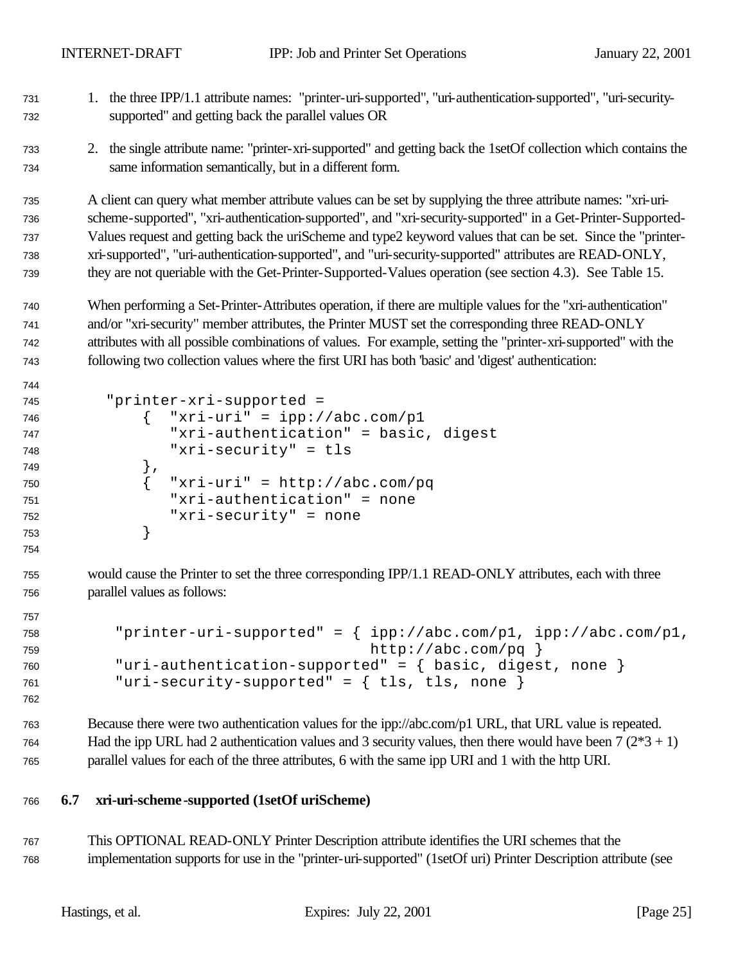- 1. the three IPP/1.1 attribute names: "printer-uri-supported", "uri-authentication-supported", "uri-security-supported" and getting back the parallel values OR
- 2. the single attribute name: "printer-xri-supported" and getting back the 1setOf collection which contains the same information semantically, but in a different form.

 A client can query what member attribute values can be set by supplying the three attribute names: "xri-uri- scheme-supported", "xri-authentication-supported", and "xri-security-supported" in a Get-Printer-Supported- Values request and getting back the uriScheme and type2 keyword values that can be set. Since the "printer- xri-supported", "uri-authentication-supported", and "uri-security-supported" attributes are READ-ONLY, they are not queriable with the Get-Printer-Supported-Values operation (see section 4.3). See Table 15.

 When performing a Set-Printer-Attributes operation, if there are multiple values for the "xri-authentication" and/or "xri-security" member attributes, the Printer MUST set the corresponding three READ-ONLY attributes with all possible combinations of values. For example, setting the "printer-xri-supported" with the following two collection values where the first URI has both 'basic' and 'digest' authentication:

```
745 "printer-xri-supported = 
746 \{ "xri-uri" = ipp://abc.com/p1
747 "xri-authentication" = basic, digest
748 "xri-security" = tls
749 },
750 \{ xri-uri = http://abc.com/pq751 "xri-authentication" = none
752 "xri-security" = none
753 }
```
 would cause the Printer to set the three corresponding IPP/1.1 READ-ONLY attributes, each with three parallel values as follows:

```
757
758 "printer-uri-supported" = { ipp://abc.com/p1, ipp://abc.com/p1,
759 http://abc.com/pq }
760 "uri-authentication-supported" = { basic, digest, none }
```
"uri-security-supported" = { tls, tls, none }

 Because there were two authentication values for the ipp://abc.com/p1 URL, that URL value is repeated. 764 Had the ipp URL had 2 authentication values and 3 security values, then there would have been  $7(2*3 + 1)$ parallel values for each of the three attributes, 6 with the same ipp URI and 1 with the http URI.

**6.7 xri-uri-scheme-supported (1setOf uriScheme)**

 This OPTIONAL READ-ONLY Printer Description attribute identifies the URI schemes that the implementation supports for use in the "printer-uri-supported" (1setOf uri) Printer Description attribute (see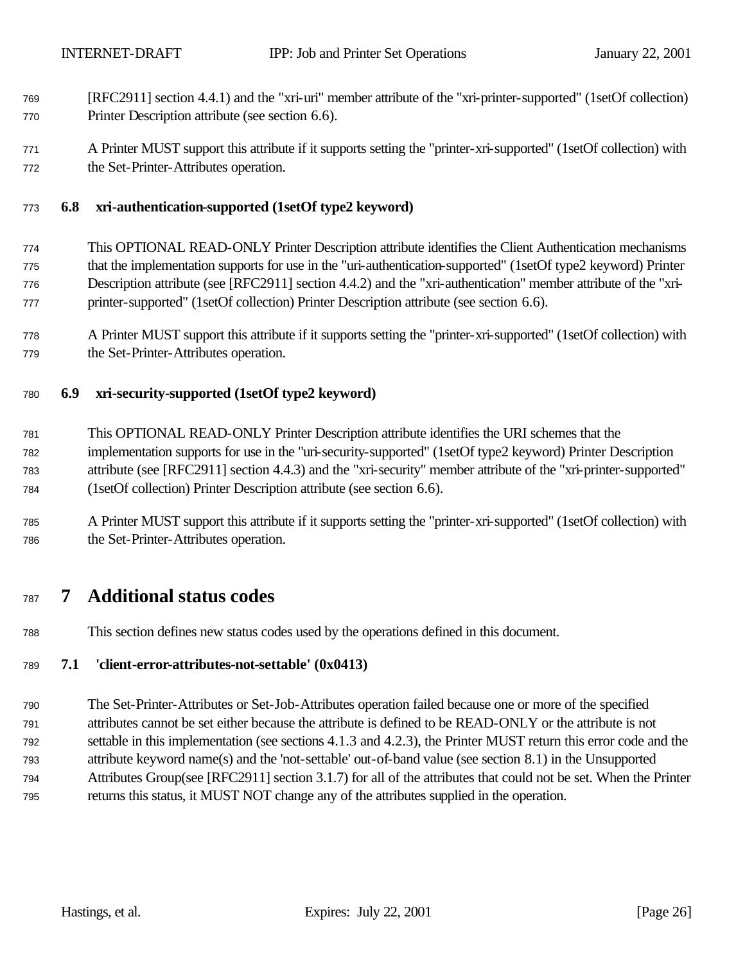- [RFC2911] section 4.4.1) and the "xri-uri" member attribute of the "xri-printer-supported" (1setOf collection) Printer Description attribute (see section 6.6).
- A Printer MUST support this attribute if it supports setting the "printer-xri-supported" (1setOf collection) with the Set-Printer-Attributes operation.

## **6.8 xri-authentication-supported (1setOf type2 keyword)**

- This OPTIONAL READ-ONLY Printer Description attribute identifies the Client Authentication mechanisms that the implementation supports for use in the "uri-authentication-supported" (1setOf type2 keyword) Printer Description attribute (see [RFC2911] section 4.4.2) and the "xri-authentication" member attribute of the "xri-printer-supported" (1setOf collection) Printer Description attribute (see section 6.6).
- A Printer MUST support this attribute if it supports setting the "printer-xri-supported" (1setOf collection) with the Set-Printer-Attributes operation.

## **6.9 xri-security-supported (1setOf type2 keyword)**

- This OPTIONAL READ-ONLY Printer Description attribute identifies the URI schemes that the implementation supports for use in the "uri-security-supported" (1setOf type2 keyword) Printer Description attribute (see [RFC2911] section 4.4.3) and the "xri-security" member attribute of the "xri-printer-supported" (1setOf collection) Printer Description attribute (see section 6.6).
- A Printer MUST support this attribute if it supports setting the "printer-xri-supported" (1setOf collection) with the Set-Printer-Attributes operation.

## **7 Additional status codes**

This section defines new status codes used by the operations defined in this document.

#### **7.1 'client-error-attributes-not-settable' (0x0413)**

 The Set-Printer-Attributes or Set-Job-Attributes operation failed because one or more of the specified attributes cannot be set either because the attribute is defined to be READ-ONLY or the attribute is not settable in this implementation (see sections 4.1.3 and 4.2.3), the Printer MUST return this error code and the attribute keyword name(s) and the 'not-settable' out-of-band value (see section 8.1) in the Unsupported Attributes Group(see [RFC2911] section 3.1.7) for all of the attributes that could not be set. When the Printer returns this status, it MUST NOT change any of the attributes supplied in the operation.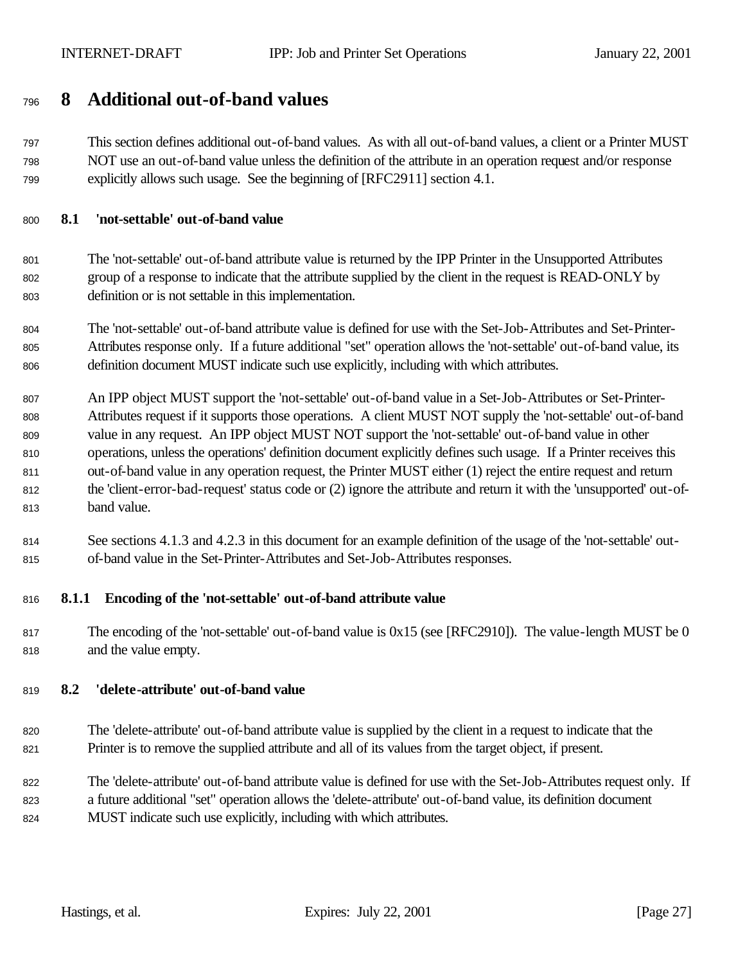## **8 Additional out-of-band values**

 This section defines additional out-of-band values. As with all out-of-band values, a client or a Printer MUST NOT use an out-of-band value unless the definition of the attribute in an operation request and/or response explicitly allows such usage. See the beginning of [RFC2911] section 4.1.

#### **8.1 'not-settable' out-of-band value**

 The 'not-settable' out-of-band attribute value is returned by the IPP Printer in the Unsupported Attributes group of a response to indicate that the attribute supplied by the client in the request is READ-ONLY by definition or is not settable in this implementation.

- The 'not-settable' out-of-band attribute value is defined for use with the Set-Job-Attributes and Set-Printer- Attributes response only. If a future additional "set" operation allows the 'not-settable' out-of-band value, its definition document MUST indicate such use explicitly, including with which attributes.
- An IPP object MUST support the 'not-settable' out-of-band value in a Set-Job-Attributes or Set-Printer- Attributes request if it supports those operations. A client MUST NOT supply the 'not-settable' out-of-band value in any request. An IPP object MUST NOT support the 'not-settable' out-of-band value in other operations, unless the operations' definition document explicitly defines such usage. If a Printer receives this out-of-band value in any operation request, the Printer MUST either (1) reject the entire request and return the 'client-error-bad-request' status code or (2) ignore the attribute and return it with the 'unsupported' out-of-band value.
- See sections 4.1.3 and 4.2.3 in this document for an example definition of the usage of the 'not-settable' out-of-band value in the Set-Printer-Attributes and Set-Job-Attributes responses.

## **8.1.1 Encoding of the 'not-settable' out-of-band attribute value**

817 The encoding of the 'not-settable' out-of-band value is  $0x15$  (see [RFC2910]). The value-length MUST be 0 and the value empty.

## **8.2 'delete-attribute' out-of-band value**

- The 'delete-attribute' out-of-band attribute value is supplied by the client in a request to indicate that the Printer is to remove the supplied attribute and all of its values from the target object, if present.
- The 'delete-attribute' out-of-band attribute value is defined for use with the Set-Job-Attributes request only. If a future additional "set" operation allows the 'delete-attribute' out-of-band value, its definition document MUST indicate such use explicitly, including with which attributes.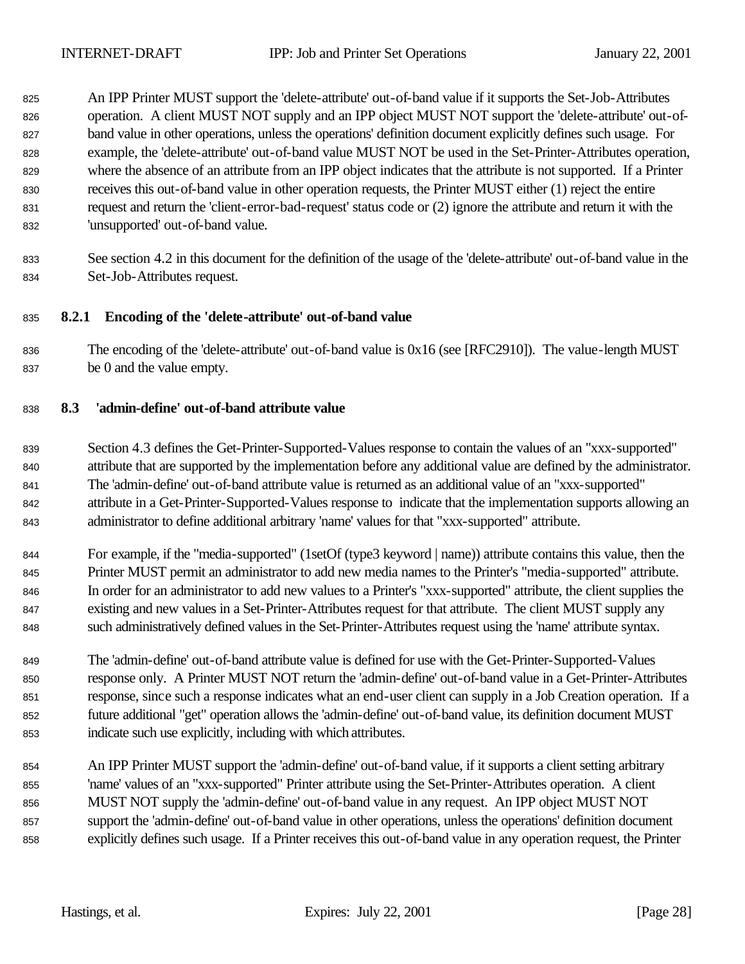An IPP Printer MUST support the 'delete-attribute' out-of-band value if it supports the Set-Job-Attributes operation. A client MUST NOT supply and an IPP object MUST NOT support the 'delete-attribute' out-of- band value in other operations, unless the operations' definition document explicitly defines such usage. For example, the 'delete-attribute' out-of-band value MUST NOT be used in the Set-Printer-Attributes operation, where the absence of an attribute from an IPP object indicates that the attribute is not supported. If a Printer receives this out-of-band value in other operation requests, the Printer MUST either (1) reject the entire request and return the 'client-error-bad-request' status code or (2) ignore the attribute and return it with the 'unsupported' out-of-band value.

 See section 4.2 in this document for the definition of the usage of the 'delete-attribute' out-of-band value in the Set-Job-Attributes request.

## **8.2.1 Encoding of the 'delete-attribute' out-of-band value**

 The encoding of the 'delete-attribute' out-of-band value is 0x16 (see [RFC2910]). The value-length MUST be 0 and the value empty.

## **8.3 'admin-define' out-of-band attribute value**

- Section 4.3 defines the Get-Printer-Supported-Values response to contain the values of an "xxx-supported" attribute that are supported by the implementation before any additional value are defined by the administrator. The 'admin-define' out-of-band attribute value is returned as an additional value of an "xxx-supported" attribute in a Get-Printer-Supported-Values response to indicate that the implementation supports allowing an administrator to define additional arbitrary 'name' values for that "xxx-supported" attribute.
- For example, if the "media-supported" (1setOf (type3 keyword | name)) attribute contains this value, then the Printer MUST permit an administrator to add new media names to the Printer's "media-supported" attribute. In order for an administrator to add new values to a Printer's "xxx-supported" attribute, the client supplies the existing and new values in a Set-Printer-Attributes request for that attribute. The client MUST supply any such administratively defined values in the Set-Printer-Attributes request using the 'name' attribute syntax.
- The 'admin-define' out-of-band attribute value is defined for use with the Get-Printer-Supported-Values response only. A Printer MUST NOT return the 'admin-define' out-of-band value in a Get-Printer-Attributes response, since such a response indicates what an end-user client can supply in a Job Creation operation. If a future additional "get" operation allows the 'admin-define' out-of-band value, its definition document MUST indicate such use explicitly, including with which attributes.
- An IPP Printer MUST support the 'admin-define' out-of-band value, if it supports a client setting arbitrary 'name' values of an "xxx-supported" Printer attribute using the Set-Printer-Attributes operation. A client MUST NOT supply the 'admin-define' out-of-band value in any request. An IPP object MUST NOT support the 'admin-define' out-of-band value in other operations, unless the operations' definition document explicitly defines such usage. If a Printer receives this out-of-band value in any operation request, the Printer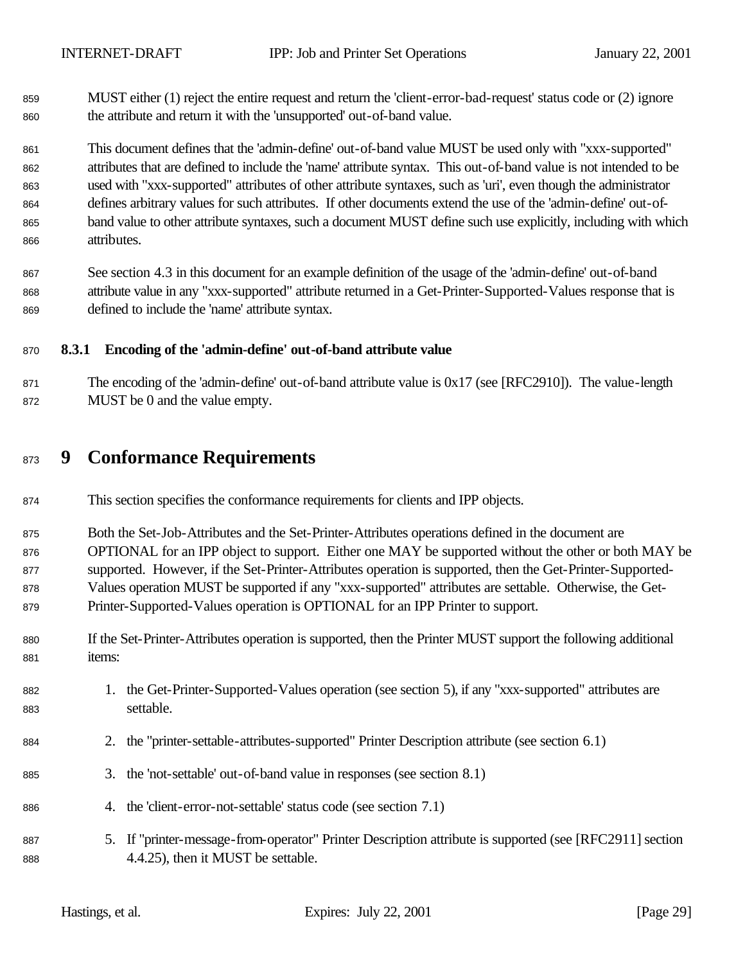MUST either (1) reject the entire request and return the 'client-error-bad-request' status code or (2) ignore the attribute and return it with the 'unsupported' out-of-band value.

 This document defines that the 'admin-define' out-of-band value MUST be used only with "xxx-supported" attributes that are defined to include the 'name' attribute syntax. This out-of-band value is not intended to be used with "xxx-supported" attributes of other attribute syntaxes, such as 'uri', even though the administrator defines arbitrary values for such attributes. If other documents extend the use of the 'admin-define' out-of- band value to other attribute syntaxes, such a document MUST define such use explicitly, including with which attributes.

 See section 4.3 in this document for an example definition of the usage of the 'admin-define' out-of-band attribute value in any "xxx-supported" attribute returned in a Get-Printer-Supported-Values response that is defined to include the 'name' attribute syntax.

## **8.3.1 Encoding of the 'admin-define' out-of-band attribute value**

871 The encoding of the 'admin-define' out-of-band attribute value is 0x17 (see [RFC2910]). The value-length MUST be 0 and the value empty.

## **9 Conformance Requirements**

- This section specifies the conformance requirements for clients and IPP objects.
- Both the Set-Job-Attributes and the Set-Printer-Attributes operations defined in the document are OPTIONAL for an IPP object to support. Either one MAY be supported without the other or both MAY be supported. However, if the Set-Printer-Attributes operation is supported, then the Get-Printer-Supported- Values operation MUST be supported if any "xxx-supported" attributes are settable. Otherwise, the Get-Printer-Supported-Values operation is OPTIONAL for an IPP Printer to support.
- 880 If the Set-Printer-Attributes operation is supported, then the Printer MUST support the following additional items:
- 1. the Get-Printer-Supported-Values operation (see section 5), if any "xxx-supported" attributes are settable.
- 2. the "printer-settable-attributes-supported" Printer Description attribute (see section 6.1)
- 3. the 'not-settable' out-of-band value in responses (see section 8.1)
- 4. the 'client-error-not-settable' status code (see section 7.1)
- 5. If "printer-message-from-operator" Printer Description attribute is supported (see [RFC2911] section 4.4.25), then it MUST be settable.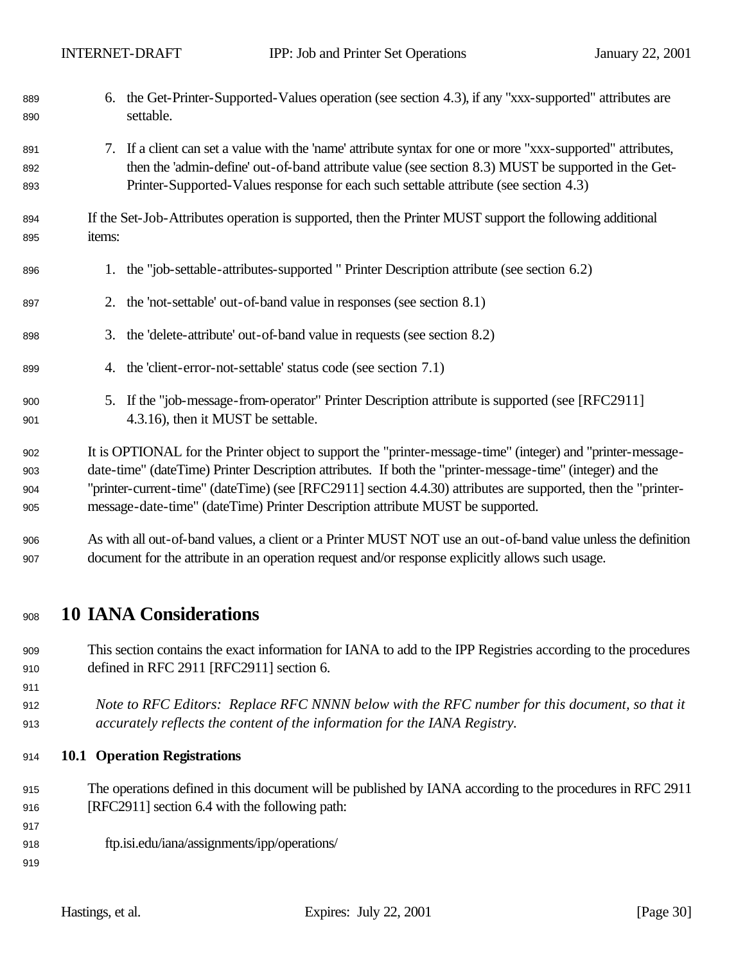| 889<br>890               |        | 6. the Get-Printer-Supported-Values operation (see section 4.3), if any "xxx-supported" attributes are<br>settable.                                                                                                                                                                                                                                                                                                          |
|--------------------------|--------|------------------------------------------------------------------------------------------------------------------------------------------------------------------------------------------------------------------------------------------------------------------------------------------------------------------------------------------------------------------------------------------------------------------------------|
| 891<br>892<br>893        |        | 7. If a client can set a value with the 'name' attribute syntax for one or more "xxx-supported" attributes,<br>then the 'admin-define' out-of-band attribute value (see section 8.3) MUST be supported in the Get-<br>Printer-Supported-Values response for each such settable attribute (see section 4.3)                                                                                                                   |
| 894<br>895               | items: | If the Set-Job-Attributes operation is supported, then the Printer MUST support the following additional                                                                                                                                                                                                                                                                                                                     |
| 896                      |        | 1. the "job-settable-attributes-supported" Printer Description attribute (see section 6.2)                                                                                                                                                                                                                                                                                                                                   |
| 897                      |        | 2. the 'not-settable' out-of-band value in responses (see section 8.1)                                                                                                                                                                                                                                                                                                                                                       |
| 898                      | 3.     | the 'delete-attribute' out-of-band value in requests (see section 8.2)                                                                                                                                                                                                                                                                                                                                                       |
| 899                      |        | 4. the 'client-error-not-settable' status code (see section 7.1)                                                                                                                                                                                                                                                                                                                                                             |
| 900<br>901               |        | 5. If the "job-message-from-operator" Printer Description attribute is supported (see [RFC2911]<br>4.3.16), then it MUST be settable.                                                                                                                                                                                                                                                                                        |
| 902<br>903<br>904<br>905 |        | It is OPTIONAL for the Printer object to support the "printer-message-time" (integer) and "printer-message-<br>date-time" (dateTime) Printer Description attributes. If both the "printer-message-time" (integer) and the<br>"printer-current-time" (dateTime) (see [RFC2911] section 4.4.30) attributes are supported, then the "printer-<br>message-date-time" (dateTime) Printer Description attribute MUST be supported. |
| 906<br>907               |        | As with all out-of-band values, a client or a Printer MUST NOT use an out-of-band value unless the definition<br>document for the attribute in an operation request and/or response explicitly allows such usage.                                                                                                                                                                                                            |

## **10 IANA Considerations**

 This section contains the exact information for IANA to add to the IPP Registries according to the procedures defined in RFC 2911 [RFC2911] section 6.

 *Note to RFC Editors: Replace RFC NNNN below with the RFC number for this document, so that it accurately reflects the content of the information for the IANA Registry.*

- **10.1 Operation Registrations**
- The operations defined in this document will be published by IANA according to the procedures in RFC 2911 [RFC2911] section 6.4 with the following path:
- ftp.isi.edu/iana/assignments/ipp/operations/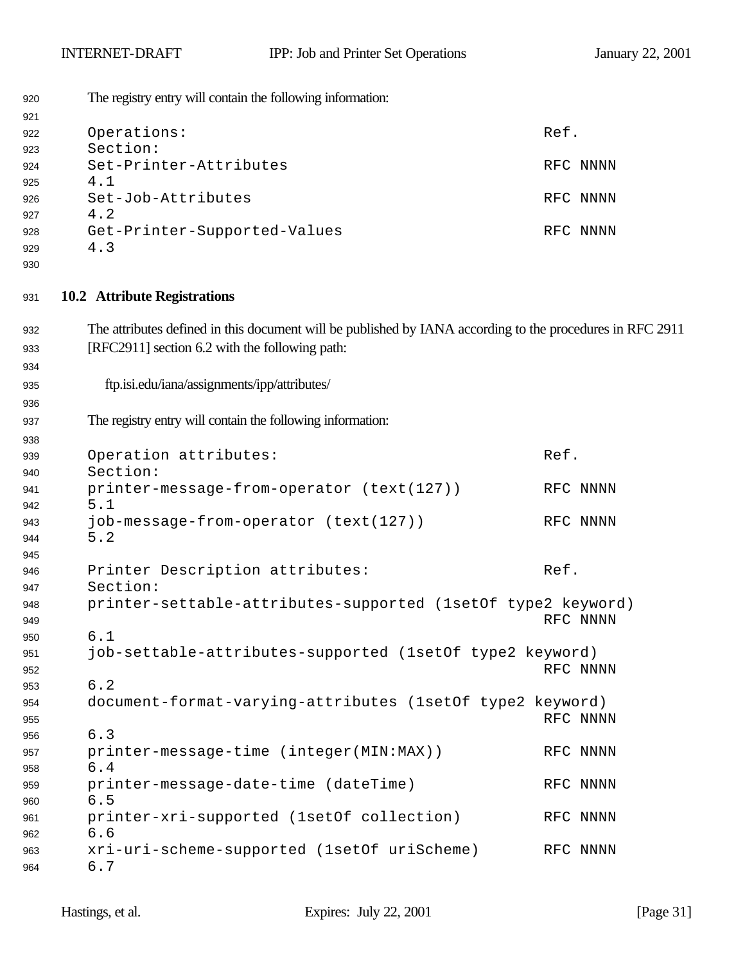| 920        | The registry entry will contain the following information:                                                |          |
|------------|-----------------------------------------------------------------------------------------------------------|----------|
| 921        |                                                                                                           |          |
| 922        | Operations:                                                                                               | Ref.     |
| 923        | Section:                                                                                                  |          |
| 924        | Set-Printer-Attributes                                                                                    | RFC NNNN |
| 925        | 4.1                                                                                                       |          |
| 926        | Set-Job-Attributes                                                                                        | RFC NNNN |
| 927        | 4.2                                                                                                       |          |
| 928        | Get-Printer-Supported-Values                                                                              | RFC NNNN |
| 929        | 4.3                                                                                                       |          |
| 930        |                                                                                                           |          |
| 931        | <b>10.2</b> Attribute Registrations                                                                       |          |
| 932        | The attributes defined in this document will be published by IANA according to the procedures in RFC 2911 |          |
| 933        | [RFC2911] section 6.2 with the following path:                                                            |          |
| 934        |                                                                                                           |          |
| 935        | ftp.isi.edu/iana/assignments/ipp/attributes/                                                              |          |
| 936        |                                                                                                           |          |
| 937        | The registry entry will contain the following information:                                                |          |
| 938        |                                                                                                           |          |
| 939        | Operation attributes:                                                                                     | Ref.     |
| 940        | Section:                                                                                                  |          |
| 941        | printer-message-from-operator (text(127))                                                                 | RFC NNNN |
| 942        | 5.1                                                                                                       |          |
| 943        | job-message-from-operator (text(127))                                                                     | RFC NNNN |
| 944        | 5.2                                                                                                       |          |
| 945        |                                                                                                           |          |
| 946        | Printer Description attributes:                                                                           | Ref.     |
| 947        | Section:                                                                                                  |          |
| 948        | printer-settable-attributes-supported (1setOf type2 keyword)                                              |          |
| 949        |                                                                                                           | RFC NNNN |
| 950        | 61                                                                                                        |          |
| 951        | job-settable-attributes-supported (1setOf type2 keyword)                                                  |          |
| 952        |                                                                                                           | RFC NNNN |
| 953        | 6.2                                                                                                       |          |
| 954        | document-format-varying-attributes (1setOf type2 keyword)                                                 |          |
| 955        |                                                                                                           | RFC NNNN |
| 956        | 6.3                                                                                                       |          |
| 957        | printer-message-time (integer(MIN:MAX))                                                                   | RFC NNNN |
| 958        | 6.4                                                                                                       |          |
| 959        | printer-message-date-time (dateTime)<br>6.5                                                               | RFC NNNN |
| 960        | printer-xri-supported (1setOf collection)                                                                 | RFC NNNN |
| 961<br>962 | 6.6                                                                                                       |          |
| 963        | xri-uri-scheme-supported (1setOf uriScheme)                                                               | RFC NNNN |
| 964        | 6.7                                                                                                       |          |
|            |                                                                                                           |          |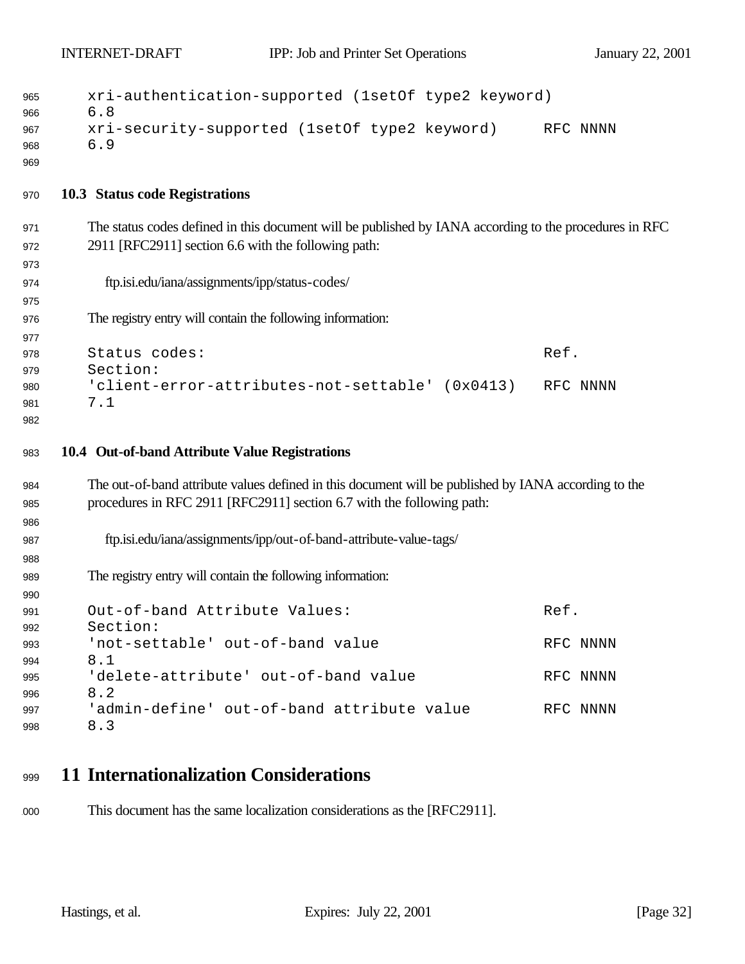```
965 xri-authentication-supported (1setOf type2 keyword) 
966 6.8
967 xri-security-supported (1setOf type2 keyword) RFC NNNN 
968 6.9
969
970 10.3 Status code Registrations
971 The status codes defined in this document will be published by IANA according to the procedures in RFC 
972 2911 [RFC2911] section 6.6 with the following path:
973
974 ftp.isi.edu/iana/assignments/ipp/status-codes/
975
976 The registry entry will contain the following information:
977
978 Status codes: Ref. 
979 Section:
980 'client-error-attributes-not-settable' (0x0413) RFC NNNN
981 7.1
982
983 10.4 Out-of-band Attribute Value Registrations
984 The out-of-band attribute values defined in this document will be published by IANA according to the 
985 procedures in RFC 2911 [RFC2911] section 6.7 with the following path:
986
987 ftp.isi.edu/iana/assignments/ipp/out-of-band-attribute-value-tags/
988
989 The registry entry will contain the following information:
990
991 Out-of-band Attribute Values: Ref. 
992 Section:
993 Thot-settable' out-of-band value RFC NNNN
994 8.1
995 delete-attribute' out-of-band value RFC NNNN
996 8.2
997 'admin-define' out-of-band attribute value RFC NNNN 
998 8.3
```
- **11 Internationalization Considerations**
- This document has the same localization considerations as the [RFC2911].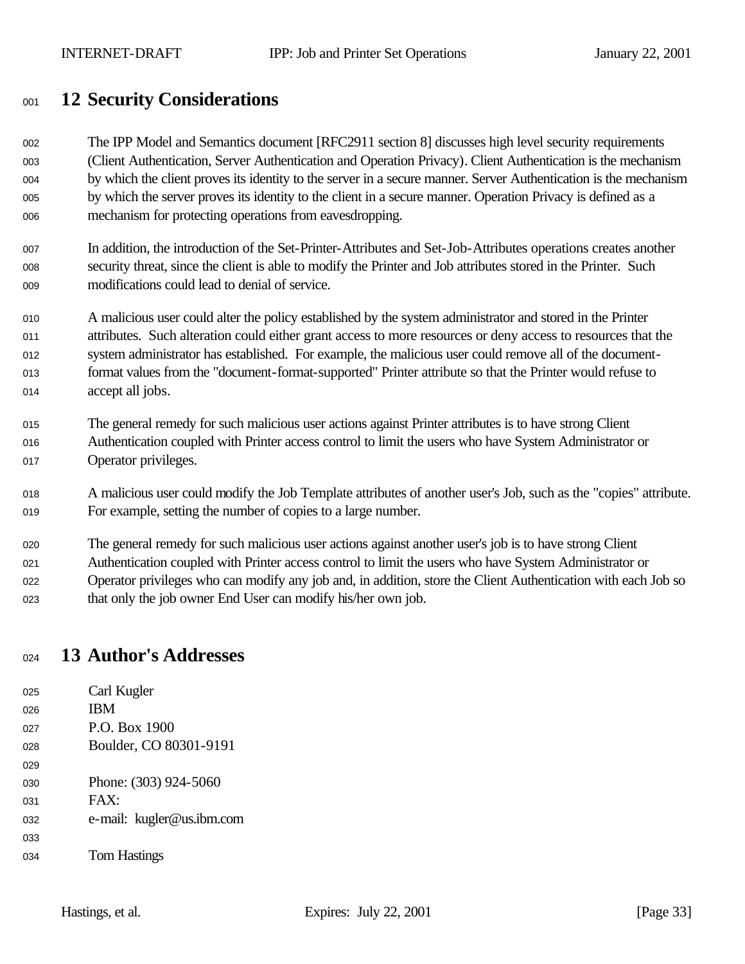## **12 Security Considerations**

 The IPP Model and Semantics document [RFC2911 section 8] discusses high level security requirements (Client Authentication, Server Authentication and Operation Privacy). Client Authentication is the mechanism by which the client proves its identity to the server in a secure manner. Server Authentication is the mechanism by which the server proves its identity to the client in a secure manner. Operation Privacy is defined as a mechanism for protecting operations from eavesdropping.

 In addition, the introduction of the Set-Printer-Attributes and Set-Job-Attributes operations creates another security threat, since the client is able to modify the Printer and Job attributes stored in the Printer. Such modifications could lead to denial of service.

 A malicious user could alter the policy established by the system administrator and stored in the Printer attributes. Such alteration could either grant access to more resources or deny access to resources that the system administrator has established. For example, the malicious user could remove all of the document- format values from the "document-format-supported" Printer attribute so that the Printer would refuse to accept all jobs.

 The general remedy for such malicious user actions against Printer attributes is to have strong Client Authentication coupled with Printer access control to limit the users who have System Administrator or 017 Operator privileges.

 A malicious user could modify the Job Template attributes of another user's Job, such as the "copies" attribute. For example, setting the number of copies to a large number.

 The general remedy for such malicious user actions against another user's job is to have strong Client Authentication coupled with Printer access control to limit the users who have System Administrator or Operator privileges who can modify any job and, in addition, store the Client Authentication with each Job so that only the job owner End User can modify his/her own job.

## **13 Author's Addresses**

| 025 | Carl Kugler               |
|-----|---------------------------|
| 026 | <b>IBM</b>                |
| 027 | P.O. Box 1900             |
| 028 | Boulder, CO 80301-9191    |
| 029 |                           |
| 030 | Phone: (303) 924-5060     |
| 031 | FAX:                      |
| 032 | e-mail: kugler@us.ibm.com |
| 033 |                           |
| 034 | Tom Hastings              |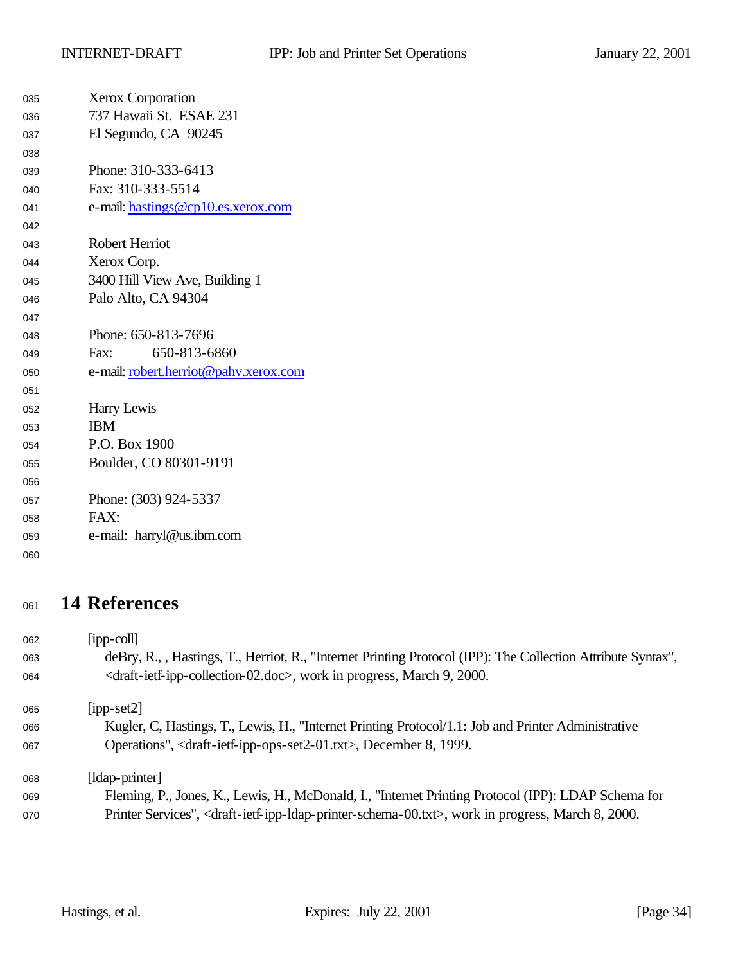| 035 | <b>Xerox Corporation</b>              |  |
|-----|---------------------------------------|--|
| 036 | 737 Hawaii St. ESAE 231               |  |
| 037 | El Segundo, CA 90245                  |  |
| 038 |                                       |  |
| 039 | Phone: 310-333-6413                   |  |
| 040 | Fax: 310-333-5514                     |  |
| 041 | e-mail: hastings@cp10.es.xerox.com    |  |
| 042 |                                       |  |
| 043 | Robert Herriot                        |  |
| 044 | Xerox Corp.                           |  |
| 045 | 3400 Hill View Ave, Building 1        |  |
| 046 | Palo Alto, CA 94304                   |  |
| 047 |                                       |  |
| 048 | Phone: 650-813-7696                   |  |
| 049 | 650-813-6860<br>Fax:                  |  |
| 050 | e-mail: robert.herriot@pahv.xerox.com |  |
| 051 |                                       |  |
| 052 | Harry Lewis                           |  |
| 053 | <b>IBM</b>                            |  |
| 054 | P.O. Box 1900                         |  |
| 055 | Boulder, CO 80301-9191                |  |
| 056 |                                       |  |
| 057 | Phone: (303) 924-5337                 |  |
| 058 | FAX:                                  |  |
| 059 | e-mail: harryl@us.ibm.com             |  |
| 060 |                                       |  |
|     |                                       |  |

# <sup>1061</sup> **14 References**

| 062 | $[$ ipp-coll $]$                                                                                                                             |
|-----|----------------------------------------------------------------------------------------------------------------------------------------------|
| 063 | deBry, R., , Hastings, T., Herriot, R., "Internet Printing Protocol (IPP): The Collection Attribute Syntax",                                 |
| 064 | <draft-ietf-ipp-collection-02.doc>, work in progress, March 9, 2000.</draft-ietf-ipp-collection-02.doc>                                      |
| 065 | $[$ ipp-set $2]$                                                                                                                             |
| 066 | Kugler, C, Hastings, T., Lewis, H., "Internet Printing Protocol/1.1: Job and Printer Administrative                                          |
| 067 | Operations", <draft-ietf-ipp-ops-set2-01.txt>, December 8, 1999.</draft-ietf-ipp-ops-set2-01.txt>                                            |
| 068 | [Idap-printer]                                                                                                                               |
| 069 | Fleming, P., Jones, K., Lewis, H., McDonald, I., "Internet Printing Protocol (IPP): LDAP Schema for                                          |
| 070 | Printer Services", <draft-ietf-ipp-ldap-printer-schema-00.txt>, work in progress, March 8, 2000.</draft-ietf-ipp-ldap-printer-schema-00.txt> |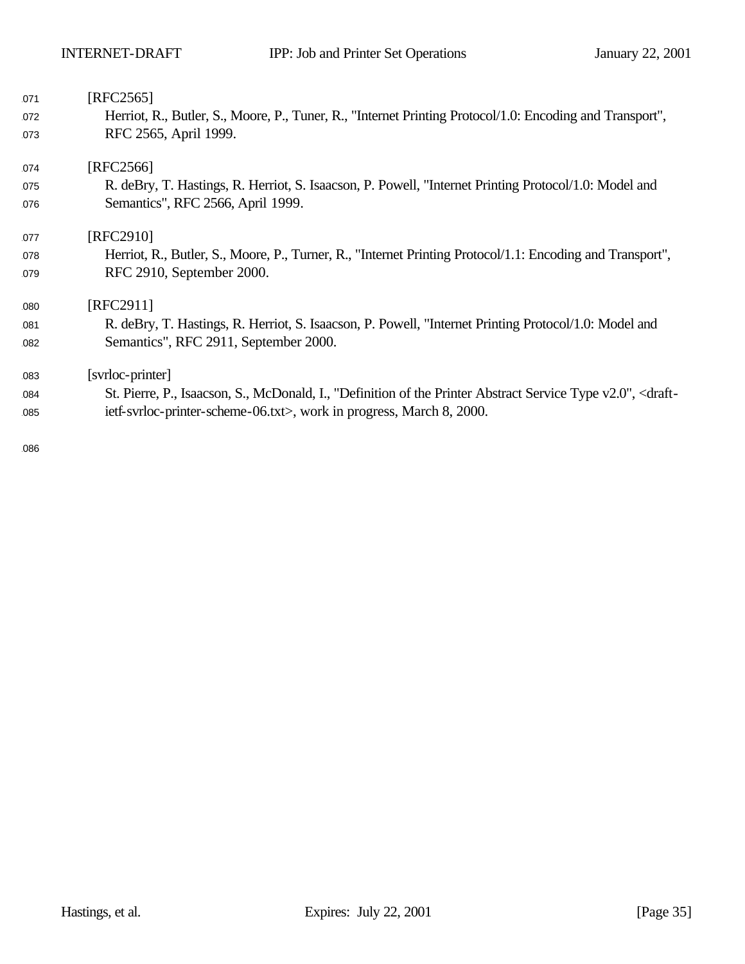| 071 | [RFC2565]                                                                                                                     |
|-----|-------------------------------------------------------------------------------------------------------------------------------|
| 072 | Herriot, R., Butler, S., Moore, P., Tuner, R., "Internet Printing Protocol/1.0: Encoding and Transport",                      |
| 073 | RFC 2565, April 1999.                                                                                                         |
| 074 | [RFC2566]                                                                                                                     |
| 075 | R. deBry, T. Hastings, R. Herriot, S. Isaacson, P. Powell, "Internet Printing Protocol/1.0: Model and                         |
| 076 | Semantics", RFC 2566, April 1999.                                                                                             |
| 077 | [RFC2910]                                                                                                                     |
| 078 | Herriot, R., Butler, S., Moore, P., Turner, R., "Internet Printing Protocol/1.1: Encoding and Transport",                     |
| 079 | RFC 2910, September 2000.                                                                                                     |
| 080 | [RFC2911]                                                                                                                     |
| 081 | R. deBry, T. Hastings, R. Herriot, S. Isaacson, P. Powell, "Internet Printing Protocol/1.0: Model and                         |
| 082 | Semantics", RFC 2911, September 2000.                                                                                         |
| 083 | [svrloc-printer]                                                                                                              |
| 084 | St. Pierre, P., Isaacson, S., McDonald, I., "Definition of the Printer Abstract Service Type v2.0", <draft-< td=""></draft-<> |
| 085 | ietf-svrloc-printer-scheme-06.txt>, work in progress, March 8, 2000.                                                          |
| 086 |                                                                                                                               |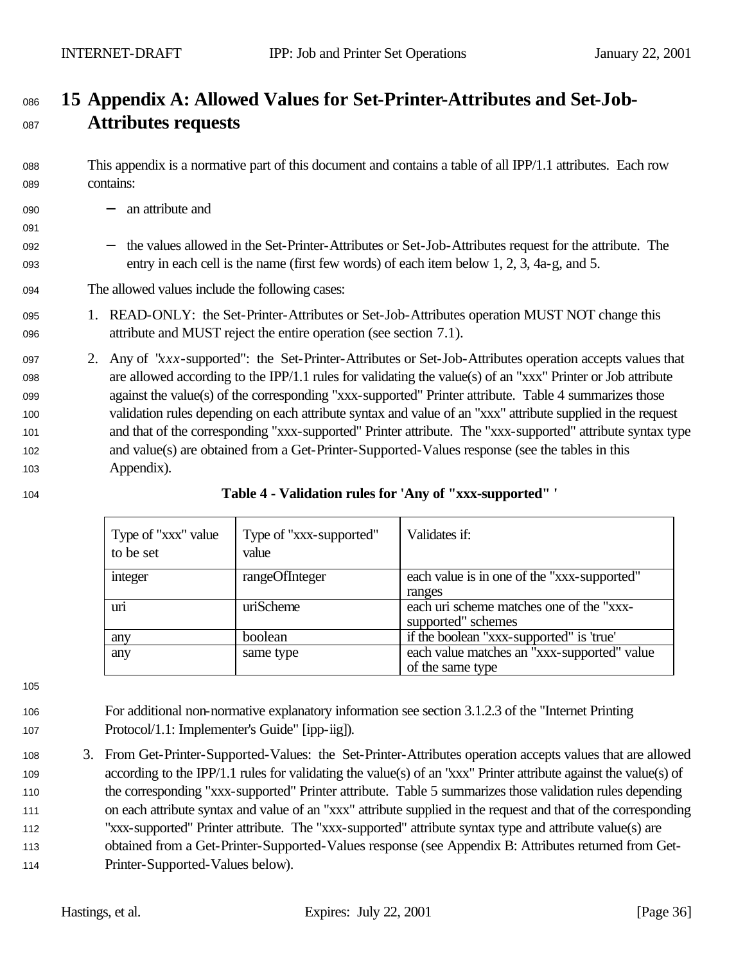# <sup>1086</sup> **15 Appendix A: Allowed Values for Set-Printer-Attributes and Set-Job-**<sup>1087</sup> **Attributes requests**

- <sup>1088</sup> This appendix is a normative part of this document and contains a table of all IPP/1.1 attributes. Each row <sup>1089</sup> contains:
- 090 − an attribute and
- <sup>1092</sup> − the values allowed in the Set-Printer-Attributes or Set-Job-Attributes request for the attribute. The <sup>1093</sup> entry in each cell is the name (first few words) of each item below 1, 2, 3, 4a-g, and 5.
- <sup>1094</sup> The allowed values include the following cases:
- 095 1. READ-ONLY: the Set-Printer-Attributes or Set-Job-Attributes operation MUST NOT change this <sup>1096</sup> attribute and MUST reject the entire operation (see section 7.1).
- <sup>1097</sup> 2. Any of "*xxx*-supported": the Set-Printer-Attributes or Set-Job-Attributes operation accepts values that <sup>1098</sup> are allowed according to the IPP/1.1 rules for validating the value(s) of an "xxx" Printer or Job attribute <sup>1099</sup> against the value(s) of the corresponding "xxx-supported" Printer attribute. Table 4 summarizes those 100 validation rules depending on each attribute syntax and value of an "xxx" attribute supplied in the request 101 and that of the corresponding "xxx-supported" Printer attribute. The "xxx-supported" attribute syntax type 102 and value(s) are obtained from a Get-Printer-Supported-Values response (see the tables in this 103 Appendix).

| Type of "xxx" value<br>to be set | Type of "xxx-supported"<br>value | Validates if:                                                   |
|----------------------------------|----------------------------------|-----------------------------------------------------------------|
| integer                          | rangeOfInteger                   | each value is in one of the "xxx-supported"<br>ranges           |
| uri                              | uriScheme                        | each uri scheme matches one of the "xxx-<br>supported" schemes  |
| any                              | boolean                          | if the boolean "xxx-supported" is 'true'                        |
| any                              | same type                        | each value matches an "xxx-supported" value<br>of the same type |

## <sup>1104</sup> **Table 4 - Validation rules for 'Any of "xxx-supported" '**

105

1091

<sup>1106</sup> For additional non-normative explanatory information see section 3.1.2.3 of the "Internet Printing 107 Protocol/1.1: Implementer's Guide" [ipp-iig]).

<sup>1108</sup> 3. From Get-Printer-Supported-Values: the Set-Printer-Attributes operation accepts values that are allowed 109 according to the IPP/1.1 rules for validating the value(s) of an "xxx" Printer attribute against the value(s) of <sup>1110</sup> the corresponding "xxx-supported" Printer attribute. Table 5 summarizes those validation rules depending <sup>1111</sup> on each attribute syntax and value of an "xxx" attribute supplied in the request and that of the corresponding <sup>1112</sup> "xxx-supported" Printer attribute. The "xxx-supported" attribute syntax type and attribute value(s) are 113 obtained from a Get-Printer-Supported-Values response (see Appendix B: Attributes returned from Get-114 Printer-Supported-Values below).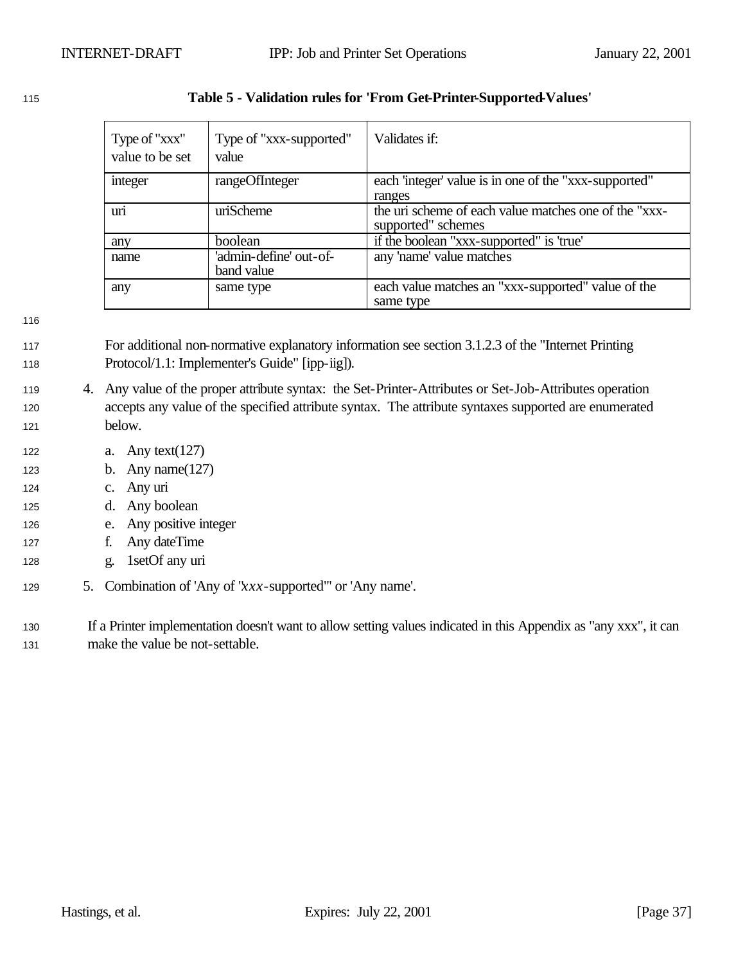| Type of "xxx"<br>value to be set | Type of "xxx-supported"<br>value     | Validates if:                                                               |
|----------------------------------|--------------------------------------|-----------------------------------------------------------------------------|
| integer                          | rangeOfInteger                       | each 'integer' value is in one of the "xxx-supported"<br>ranges             |
| uri                              | uriScheme                            | the uri scheme of each value matches one of the "xxx-<br>supported" schemes |
| any                              | boolean                              | if the boolean "xxx-supported" is 'true'                                    |
| name                             | 'admin-define' out-of-<br>band value | any 'name' value matches                                                    |
| any                              | same type                            | each value matches an "xxx-supported" value of the<br>same type             |

| 115 |  | Table 5 - Validation rules for 'From Get-Printer-Supported-Values' |
|-----|--|--------------------------------------------------------------------|
|-----|--|--------------------------------------------------------------------|

116

- <sup>1117</sup> For additional non-normative explanatory information see section 3.1.2.3 of the "Internet Printing 118 Protocol/1.1: Implementer's Guide" [ipp-iig]).
- 119 4. Any value of the proper attribute syntax: the Set-Printer-Attributes or Set-Job-Attributes operation 120 accepts any value of the specified attribute syntax. The attribute syntaxes supported are enumerated 121 below.
- 122 **a.** Any text(127)
- 123 **b.** Any name(127)
- 124 c. Any uri
- 125 d. Any boolean
- <sup>1126</sup> e. Any positive integer
- 127 f. Any dateTime
- <sup>1128</sup> g. 1setOf any uri
- <sup>1129</sup> 5. Combination of 'Any of "*xxx*-supported"' or 'Any name'.

130 If a Printer implementation doesn't want to allow setting values indicated in this Appendix as "any xxx", it can 131 make the value be not-settable.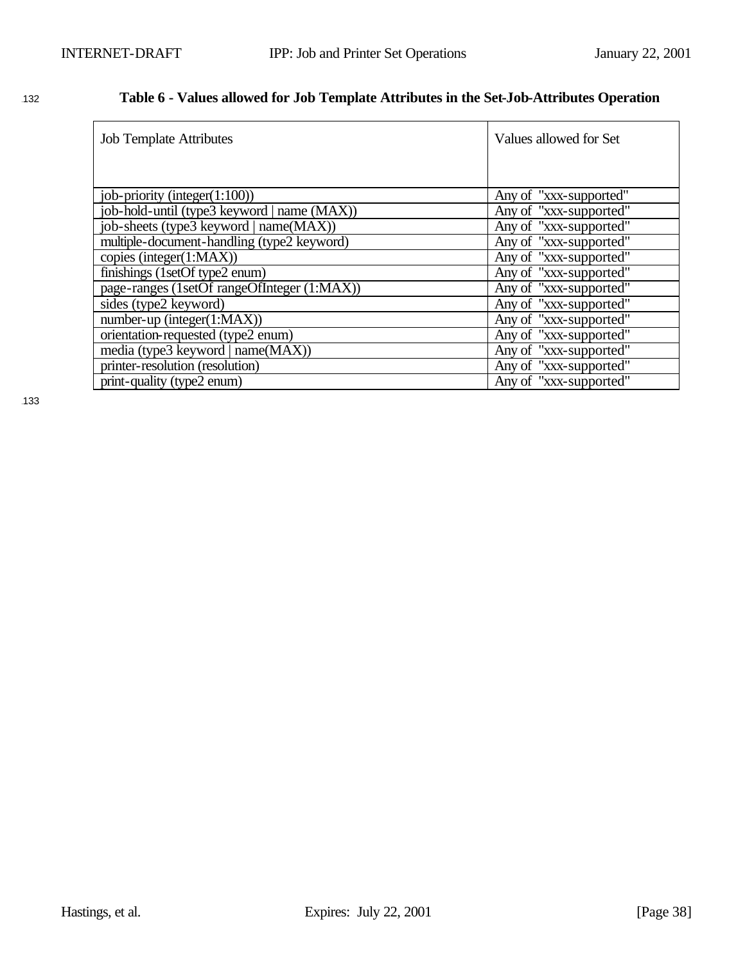## <sup>1132</sup> **Table 6 - Values allowed for Job Template Attributes in the Set-Job-Attributes Operation**

| <b>Job Template Attributes</b>              | Values allowed for Set |
|---------------------------------------------|------------------------|
|                                             |                        |
|                                             |                        |
| job-priority (integer $(1:100)$ )           | Any of "xxx-supported" |
| job-hold-until (type3 keyword   name (MAX)) | Any of "xxx-supported" |
| job-sheets (type3 keyword   name(MAX))      | Any of "xxx-supported" |
| multiple-document-handling (type2 keyword)  | Any of "xxx-supported" |
| copies (integer $(1:MAX)$ )                 | Any of "xxx-supported" |
| finishings (1setOf type2 enum)              | Any of "xxx-supported" |
| page-ranges (1setOf rangeOfInteger (1:MAX)) | Any of "xxx-supported" |
| sides (type2 keyword)                       | Any of "xxx-supported" |
| $number-up (integer(1:MAX))$                | Any of "xxx-supported" |
| orientation-requested (type2 enum)          | Any of "xxx-supported" |
| media (type3 keyword   name(MAX))           | Any of "xxx-supported" |
| printer-resolution (resolution)             | Any of "xxx-supported" |
| print-quality (type2 enum)                  | Any of "xxx-supported" |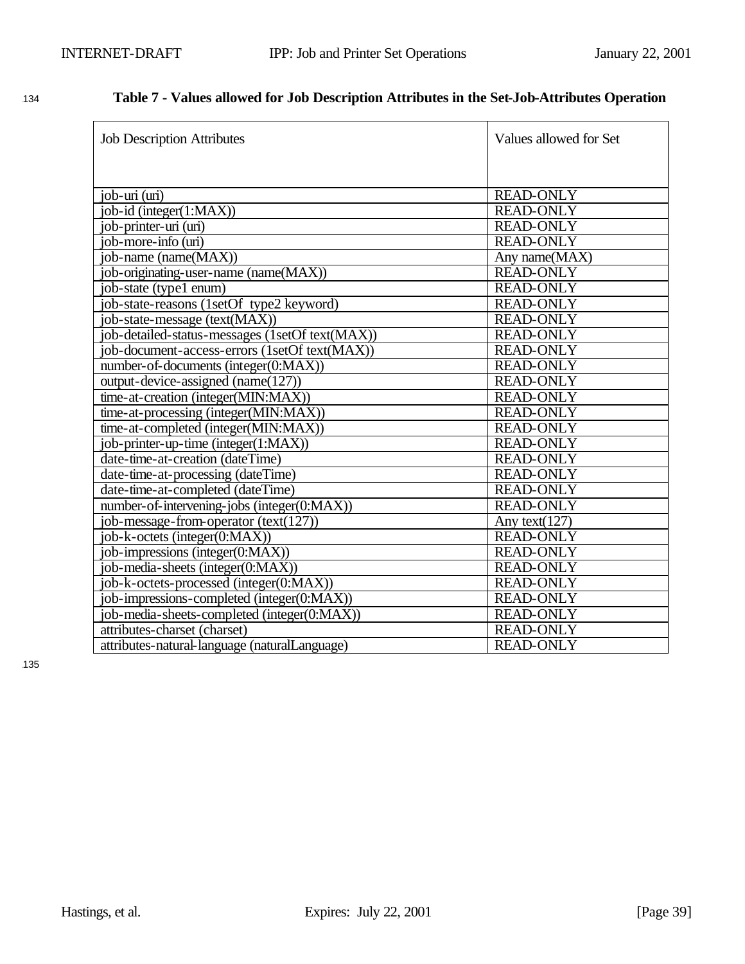## <sup>1134</sup> **Table 7 - Values allowed for Job Description Attributes in the Set-Job-Attributes Operation**

| <b>Job Description Attributes</b>               | Values allowed for Set |
|-------------------------------------------------|------------------------|
|                                                 |                        |
| job-uri (uri)                                   | <b>READ-ONLY</b>       |
| job-id (integer(1:MAX))                         | <b>READ-ONLY</b>       |
| job-printer-uri (uri)                           | <b>READ-ONLY</b>       |
| job-more-info (uri)                             | <b>READ-ONLY</b>       |
| $\overline{job}$ -name (name $(MAX)$ )          | Any name(MAX)          |
| job-originating-user-name (name(MAX))           | <b>READ-ONLY</b>       |
| job-state (type1 enum)                          | <b>READ-ONLY</b>       |
| job-state-reasons (1setOf type2 keyword)        | <b>READ-ONLY</b>       |
| job-state-message (text(MAX))                   | <b>READ-ONLY</b>       |
| job-detailed-status-messages (1setOf text(MAX)) | <b>READ-ONLY</b>       |
| job-document-access-errors (1setOf text(MAX))   | <b>READ-ONLY</b>       |
| number-of-documents (integer(0:MAX))            | <b>READ-ONLY</b>       |
| output-device-assigned (name(127))              | <b>READ-ONLY</b>       |
| time-at-creation (integer(MIN:MAX))             | <b>READ-ONLY</b>       |
| time-at-processing (integer(MIN:MAX))           | <b>READ-ONLY</b>       |
| time-at-completed (integer(MIN:MAX))            | <b>READ-ONLY</b>       |
| job-printer-up-time (integer(1:MAX))            | <b>READ-ONLY</b>       |
| date-time-at-creation (dateTime)                | <b>READ-ONLY</b>       |
| date-time-at-processing (dateTime)              | <b>READ-ONLY</b>       |
| date-time-at-completed (dateTime)               | <b>READ-ONLY</b>       |
| number-of-intervening-jobs (integer(0:MAX))     | <b>READ-ONLY</b>       |
| job-message-from-operator (text(127))           | Any text $(127)$       |
| job-k-octets (integer(0:MAX))                   | <b>READ-ONLY</b>       |
| job-impressions (integer(0:MAX))                | <b>READ-ONLY</b>       |
| job-media-sheets (integer(0:MAX))               | <b>READ-ONLY</b>       |
| job-k-octets-processed (integer(0:MAX))         | <b>READ-ONLY</b>       |
| job-impressions-completed (integer(0:MAX))      | <b>READ-ONLY</b>       |
| job-media-sheets-completed (integer(0:MAX))     | <b>READ-ONLY</b>       |
| attributes-charset (charset)                    | <b>READ-ONLY</b>       |
| attributes-natural-language (naturalLanguage)   | <b>READ-ONLY</b>       |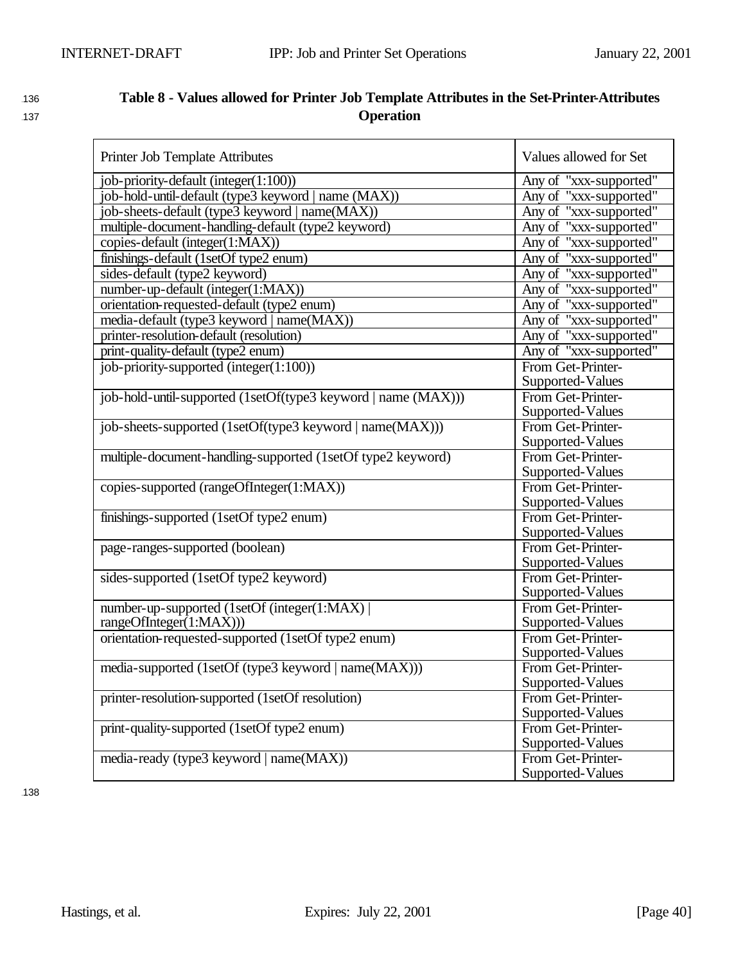$\overline{\phantom{a}}$ 

## <sup>1136</sup> **Table 8 - Values allowed for Printer Job Template Attributes in the Set-Printer-Attributes**  137 **Operation**

| Printer Job Template Attributes                               | Values allowed for Set                |
|---------------------------------------------------------------|---------------------------------------|
| job-priority-default (integer(1:100))                         | Any of "xxx-supported"                |
| job-hold-until-default (type3 keyword   name (MAX))           | Any of "xxx-supported"                |
| job-sheets-default (type3 keyword   name(MAX))                | Any of "xxx-supported"                |
| multiple-document-handling-default (type2 keyword)            | Any of "xxx-supported"                |
| copies-default (integer(1:MAX))                               | Any of "xxx-supported"                |
| finishings-default (1setOf type2 enum)                        | Any of "xxx-supported"                |
| sides-default (type2 keyword)                                 | Any of "xxx-supported"                |
| number-up-default (integer(1:MAX))                            | Any of "xxx-supported"                |
| orientation-requested-default (type2 enum)                    | Any of "xxx-supported"                |
| media-default (type3 keyword   name(MAX))                     | Any of "xxx-supported"                |
| printer-resolution-default (resolution)                       | Any of "xxx-supported"                |
| print-quality-default (type2 enum)                            | Any of "xxx-supported"                |
| job-priority-supported (integer(1:100))                       | From Get-Printer-                     |
|                                                               | Supported-Values                      |
| job-hold-until-supported (1setOf(type3 keyword   name (MAX))) | From Get-Printer-                     |
|                                                               | Supported-Values                      |
| job-sheets-supported (1setOf(type3 keyword   name(MAX)))      | From Get-Printer-                     |
|                                                               | Supported-Values                      |
| multiple-document-handling-supported (1setOf type2 keyword)   | From Get-Printer-                     |
|                                                               | Supported-Values                      |
| copies-supported (rangeOfInteger(1:MAX))                      | From Get-Printer-                     |
|                                                               | Supported-Values                      |
| finishings-supported (1setOf type2 enum)                      | From Get-Printer-                     |
|                                                               | Supported-Values                      |
| page-ranges-supported (boolean)                               | From Get-Printer-                     |
|                                                               | Supported-Values                      |
| sides-supported (1setOf type2 keyword)                        | From Get-Printer-                     |
|                                                               | Supported-Values                      |
| number-up-supported (1setOf (integer(1:MAX))                  | From Get-Printer-                     |
| rangeOfInteger(1:MAX)))                                       | Supported-Values                      |
| orientation-requested-supported (IsetOf type2 enum)           | From Get-Printer-                     |
|                                                               | <b>Supported-Values</b>               |
| media-supported (1setOf (type3 keyword   name(MAX)))          | From Get-Printer-                     |
|                                                               | Supported-Values<br>From Get-Printer- |
| printer-resolution-supported (1setOf resolution)              | Supported-Values                      |
|                                                               | From Get-Printer-                     |
| print-quality-supported (1setOf type2 enum)                   | Supported-Values                      |
| media-ready (type3 keyword   name(MAX))                       | From Get-Printer-                     |
|                                                               | Supported-Values                      |
|                                                               |                                       |

1138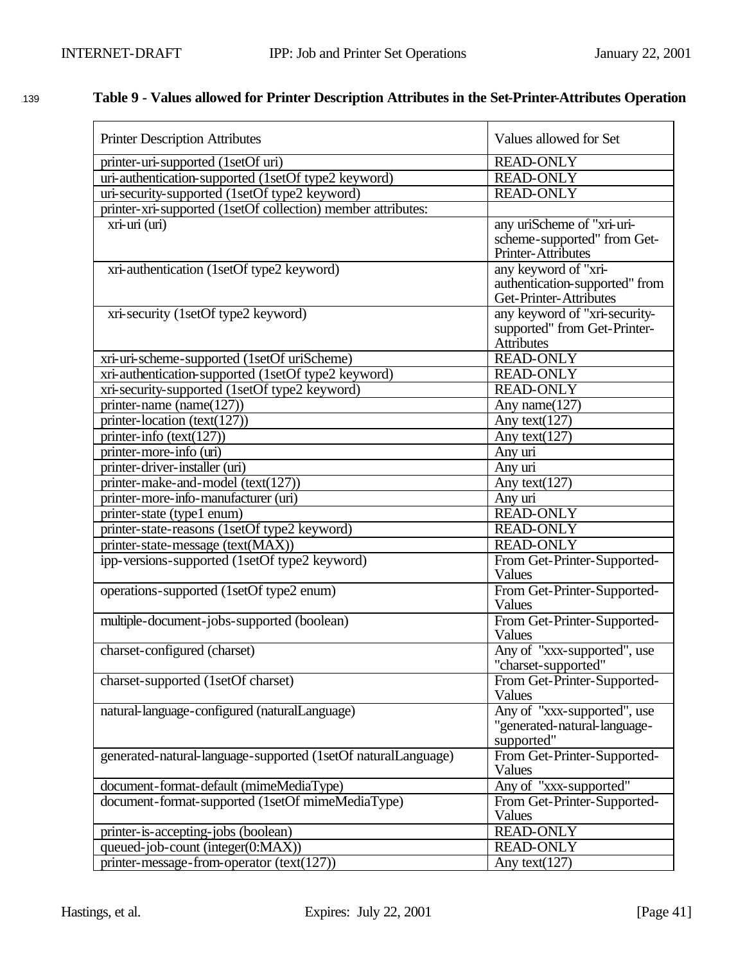# <sup>1139</sup> **Table 9 - Values allowed for Printer Description Attributes in the Set-Printer-Attributes Operation**

| <b>Printer Description Attributes</b>                         | Values allowed for Set                                                             |
|---------------------------------------------------------------|------------------------------------------------------------------------------------|
| printer-uri-supported (1setOf uri)                            | <b>READ-ONLY</b>                                                                   |
| uri-authentication-supported (1setOf type2 keyword)           | <b>READ-ONLY</b>                                                                   |
| uri-security-supported (1setOf type2 keyword)                 | <b>READ-ONLY</b>                                                                   |
| printer-xri-supported (1setOf collection) member attributes:  |                                                                                    |
| xri-uri (uri)                                                 | any uriScheme of "xri-uri-<br>scheme-supported" from Get-<br>Printer-Attributes    |
| xri-authentication (1setOf type2 keyword)                     | any keyword of "xri-<br>authentication-supported" from<br>Get-Printer-Attributes   |
| xri-security (1setOf type2 keyword)                           | any keyword of "xri-security-<br>supported" from Get-Printer-<br><b>Attributes</b> |
| xri-uri-scheme-supported (1setOf uriScheme)                   | <b>READ-ONLY</b>                                                                   |
| xri-authentication-supported (1setOf type2 keyword)           | <b>READ-ONLY</b>                                                                   |
| xri-security-supported (1setOf type2 keyword)                 | <b>READ-ONLY</b>                                                                   |
| printer-name (name $(127)$ )                                  | Any name $(127)$                                                                   |
| printer-location (text( $127$ ))                              | Any text $(127)$                                                                   |
| printer-info $(text(127))$                                    | Any text $(127)$                                                                   |
| printer-more-info (uri)                                       | Any uri                                                                            |
| printer-driver-installer (uri)                                | Any uri                                                                            |
| printer-make-and-model (text(127))                            | Any text( $\overline{127}$ )                                                       |
| printer-more-info-manufacturer (uri)                          | Any uri                                                                            |
| printer-state (type1 enum)                                    | <b>READ-ONLY</b>                                                                   |
| printer-state-reasons (1setOf type2 keyword)                  | <b>READ-ONLY</b>                                                                   |
| printer-state-message (text(MAX))                             | <b>READ-ONLY</b>                                                                   |
| ipp-versions-supported (1setOf type2 keyword)                 | From Get-Printer-Supported-<br>Values                                              |
| operations-supported (1setOf type2 enum)                      | From Get-Printer-Supported-<br>Values                                              |
| multiple-document-jobs-supported (boolean)                    | From Get-Printer-Supported-<br>Values                                              |
| charset-configured (charset)                                  | Any of "xxx-supported", use<br>"charset-supported"                                 |
| charset-supported (1setOf charset)                            | From Get-Printer-Supported-<br>Values                                              |
| natural-language-configured (naturalLanguage)                 | Any of "xxx-supported", use<br>"generated-natural-language-<br>supported"          |
| generated-natural-language-supported (1setOf naturalLanguage) | From Get-Printer-Supported-<br>Values                                              |
| document-format-default (mimeMediaType)                       | Any of "xxx-supported"                                                             |
| document-format-supported (1setOf mimeMediaType)              | From Get-Printer-Supported-<br>Values                                              |
| printer-is-accepting-jobs (boolean)                           | <b>READ-ONLY</b>                                                                   |
| queued-job-count (integer(0:MAX))                             | <b>READ-ONLY</b>                                                                   |
| printer-message-from-operator (text(127))                     | Any text $(127)$                                                                   |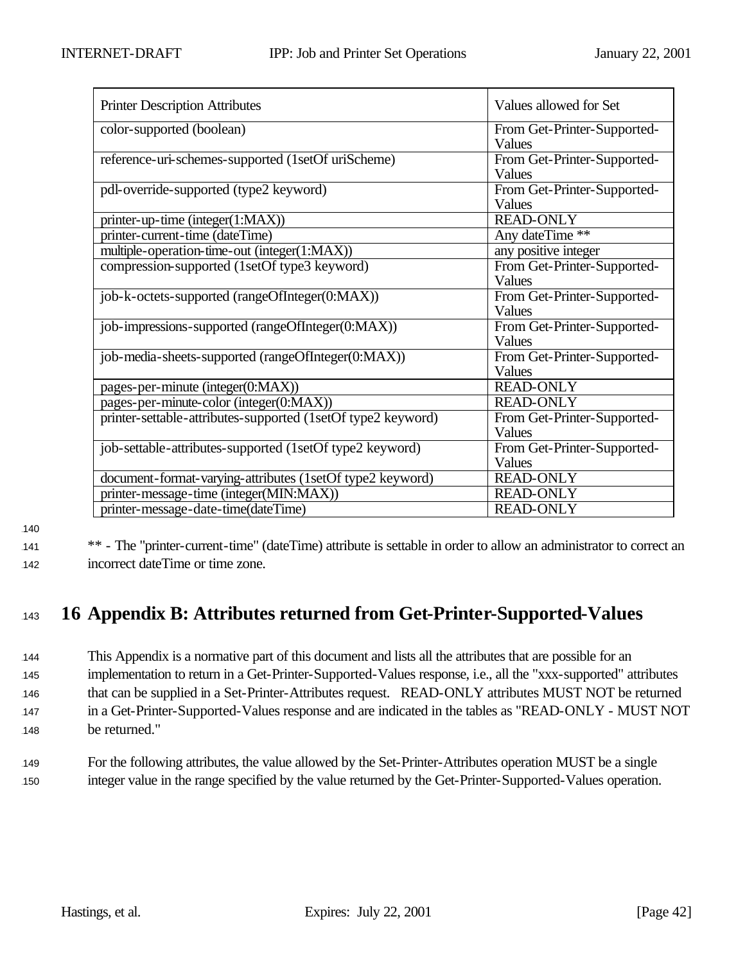| <b>Printer Description Attributes</b>                        | Values allowed for Set                |
|--------------------------------------------------------------|---------------------------------------|
| color-supported (boolean)                                    | From Get-Printer-Supported-<br>Values |
| reference-uri-schemes-supported (1setOf uriScheme)           | From Get-Printer-Supported-<br>Values |
| pdl-override-supported (type2 keyword)                       | From Get-Printer-Supported-<br>Values |
| printer-up-time (integer(1:MAX))                             | <b>READ-ONLY</b>                      |
| printer-current-time (dateTime)                              | Any dateTime **                       |
| multiple-operation-time-out (integer(1:MAX))                 | any positive integer                  |
| compression-supported (1setOf type3 keyword)                 | From Get-Printer-Supported-<br>Values |
| job-k-octets-supported (rangeOfInteger(0:MAX))               | From Get-Printer-Supported-<br>Values |
| job-impressions-supported (rangeOfInteger(0:MAX))            | From Get-Printer-Supported-<br>Values |
| job-media-sheets-supported (rangeOfInteger(0:MAX))           | From Get-Printer-Supported-<br>Values |
| pages-per-minute (integer(0:MAX))                            | <b>READ-ONLY</b>                      |
| pages-per-minute-color (integer(0:MAX))                      | <b>READ-ONLY</b>                      |
| printer-settable-attributes-supported (1setOf type2 keyword) | From Get-Printer-Supported-<br>Values |
| job-settable-attributes-supported (1setOf type2 keyword)     | From Get-Printer-Supported-<br>Values |
| document-format-varying-attributes (1setOf type2 keyword)    | <b>READ-ONLY</b>                      |
| printer-message-time (integer(MIN:MAX))                      | <b>READ-ONLY</b>                      |
| printer-message-date-time(dateTime)                          | <b>READ-ONLY</b>                      |

140

<sup>\*\*</sup> - The "printer-current-time" (dateTime) attribute is settable in order to allow an administrator to correct an <sup>1142</sup> incorrect dateTime or time zone.

## <sup>1143</sup> **16 Appendix B: Attributes returned from Get-Printer-Supported-Values**

 This Appendix is a normative part of this document and lists all the attributes that are possible for an implementation to return in a Get-Printer-Supported-Values response, i.e., all the "xxx-supported" attributes that can be supplied in a Set-Printer-Attributes request. READ-ONLY attributes MUST NOT be returned in a Get-Printer-Supported-Values response and are indicated in the tables as "READ-ONLY - MUST NOT be returned."

<sup>1149</sup> For the following attributes, the value allowed by the Set-Printer-Attributes operation MUST be a single <sup>1150</sup> integer value in the range specified by the value returned by the Get-Printer-Supported-Values operation.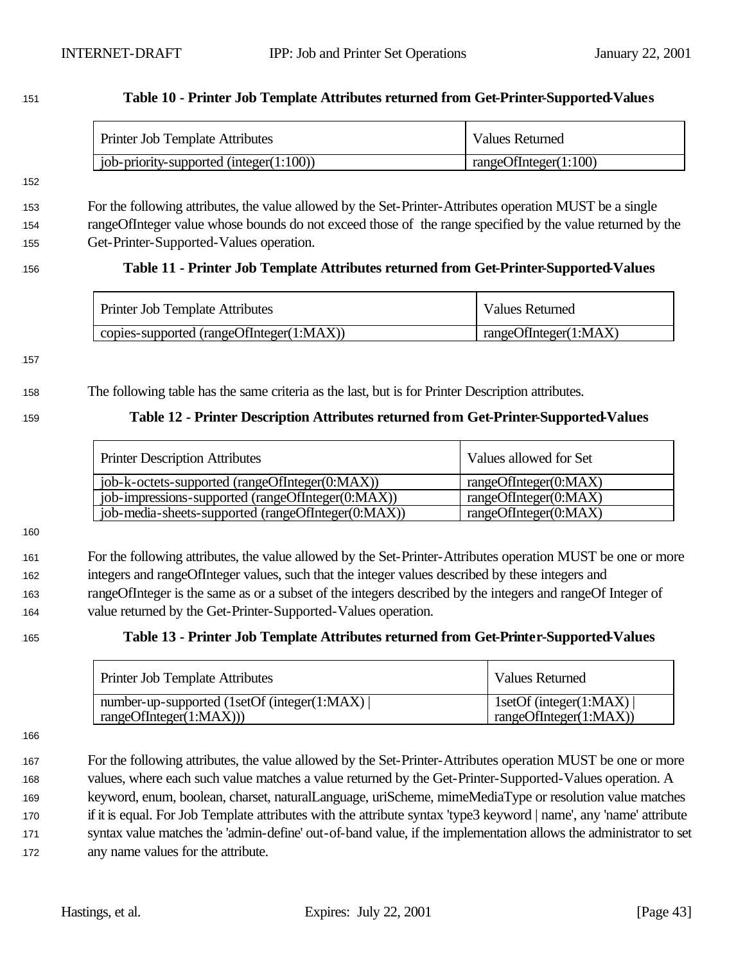## <sup>1151</sup> **Table 10 - Printer Job Template Attributes returned from Get-Printer-Supported-Values**

| Printer Job Template Attributes             | <b>Values Returned</b> |
|---------------------------------------------|------------------------|
| job-priority-supported (integer $(1:100)$ ) | rangeOfInteger(1:100)  |

## <sup>1153</sup> For the following attributes, the value allowed by the Set-Printer-Attributes operation MUST be a single <sup>1154</sup> rangeOfInteger value whose bounds do not exceed those of the range specified by the value returned by the <sup>1155</sup> Get-Printer-Supported-Values operation.

152

## <sup>1156</sup> **Table 11 - Printer Job Template Attributes returned from Get-Printer-Supported-Values**

| Printer Job Template Attributes          | <b>Values Returned</b> |
|------------------------------------------|------------------------|
| copies-supported (rangeOfInteger(1:MAX)) | rangeOfInteger(1:MAX)  |

#### 157

#### <sup>1158</sup> The following table has the same criteria as the last, but is for Printer Description attributes.

## <sup>1159</sup> **Table 12 - Printer Description Attributes returned from Get-Printer-Supported-Values**

| <b>Printer Description Attributes</b>              | Values allowed for Set |
|----------------------------------------------------|------------------------|
| job-k-octets-supported (rangeOfInteger(0:MAX))     | rangeOfInteger(0:MAX)  |
| job-impressions-supported (rangeOfInteger(0:MAX))  | rangeOfInteger(0:MAX)  |
| job-media-sheets-supported (rangeOfInteger(0:MAX)) | rangeOfInteger(0:MAX)  |

#### 160

<sup>1161</sup> For the following attributes, the value allowed by the Set-Printer-Attributes operation MUST be one or more <sup>1162</sup> integers and rangeOfInteger values, such that the integer values described by these integers and 163 rangeOfInteger is the same as or a subset of the integers described by the integers and rangeOf Integer of 164 value returned by the Get-Printer-Supported-Values operation.

## <sup>1165</sup> **Table 13 - Printer Job Template Attributes returned from Get-Printer-Supported-Values**

| Printer Job Template Attributes              | <b>Values Returned</b>  |
|----------------------------------------------|-------------------------|
| number-up-supported (1setOf (integer(1:MAX)) | 1setOf (integer(1:MAX)) |
| rangeOfInteger(1:MAX))                       | rangeOfInteger(1:MAX)   |

#### 166

167 For the following attributes, the value allowed by the Set-Printer-Attributes operation MUST be one or more 168 values, where each such value matches a value returned by the Get-Printer-Supported-Values operation. A 169 keyword, enum, boolean, charset, naturalLanguage, uriScheme, mimeMediaType or resolution value matches <sup>1170</sup> if it is equal. For Job Template attributes with the attribute syntax 'type3 keyword | name', any 'name' attribute <sup>1171</sup> syntax value matches the 'admin-define' out-of-band value, if the implementation allows the administrator to set <sup>1172</sup> any name values for the attribute.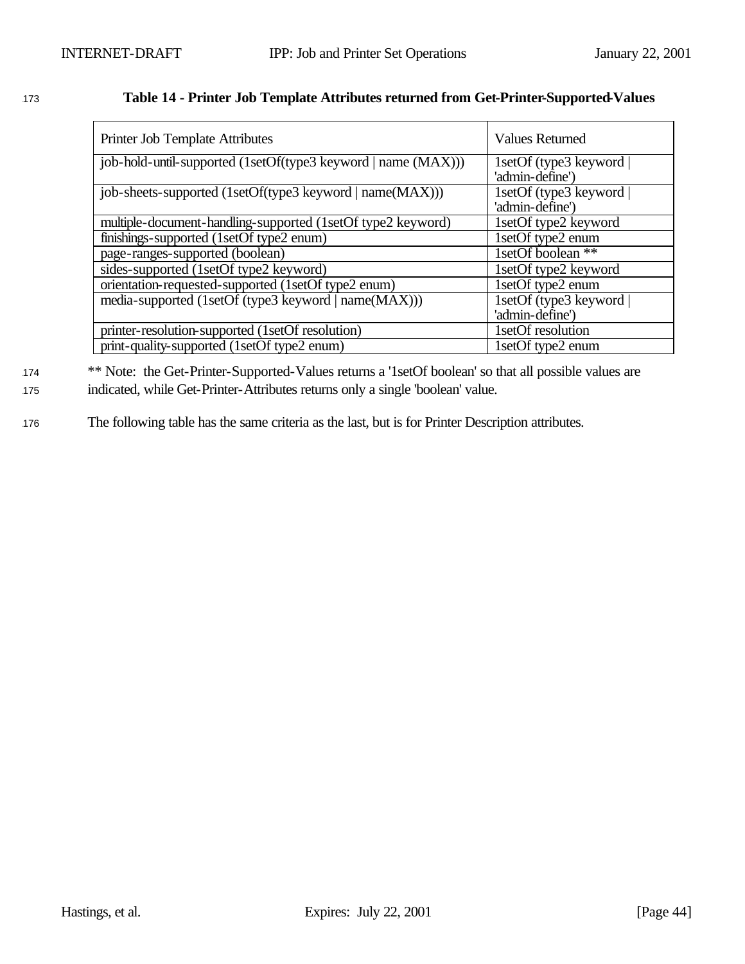| Printer Job Template Attributes                               | <b>Values Returned</b>                     |
|---------------------------------------------------------------|--------------------------------------------|
| job-hold-until-supported (1setOf(type3 keyword   name (MAX))) | 1setOf (type3 keyword  <br>'admin-define') |
| job-sheets-supported (1setOf(type3 keyword   name(MAX)))      | 1setOf (type3 keyword)<br>'admin-define')  |
| multiple-document-handling-supported (1setOf type2 keyword)   | 1setOf type2 keyword                       |
| finishings-supported (1setOf type2 enum)                      | 1setOf type2 enum                          |
| page-ranges-supported (boolean)                               | 1setOf boolean **                          |
| sides-supported (1setOf type2 keyword)                        | 1setOf type2 keyword                       |
| orientation-requested-supported (1setOf type2 enum)           | 1setOf type2 enum                          |
| media-supported (1setOf (type3 keyword   name(MAX)))          | 1setOf (type3 keyword  <br>'admin-define') |
| printer-resolution-supported (1setOf resolution)              | 1setOf resolution                          |
| print-quality-supported (1setOf type2 enum)                   | 1setOf type2 enum                          |

## <sup>1173</sup> **Table 14 - Printer Job Template Attributes returned from Get-Printer-Supported-Values**

<sup>1174</sup> \*\* Note: the Get-Printer-Supported-Values returns a '1setOf boolean' so that all possible values are <sup>1175</sup> indicated, while Get-Printer-Attributes returns only a single 'boolean' value.

176 The following table has the same criteria as the last, but is for Printer Description attributes.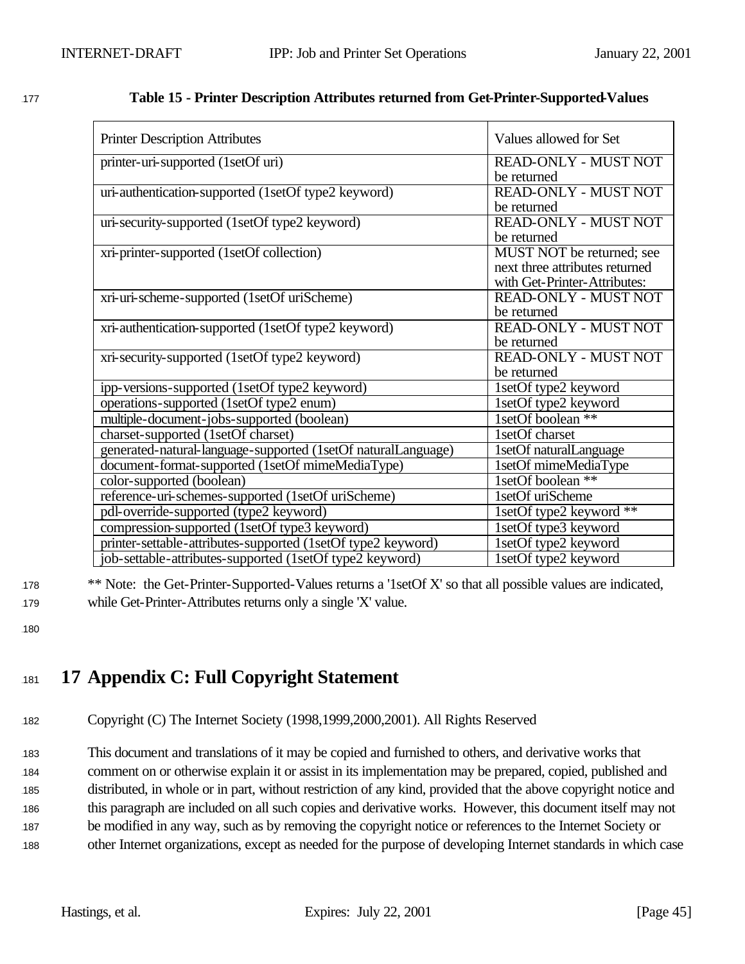| <b>Printer Description Attributes</b>                         | Values allowed for Set         |
|---------------------------------------------------------------|--------------------------------|
| printer-uri-supported (1setOf uri)                            | READ-ONLY - MUST NOT           |
|                                                               | be returned                    |
| uri-authentication-supported (1setOf type2 keyword)           | READ-ONLY - MUST NOT           |
|                                                               | be returned                    |
| uri-security-supported (1setOf type2 keyword)                 | READ-ONLY - MUST NOT           |
|                                                               | be returned                    |
| xri-printer-supported (1setOf collection)                     | MUST NOT be returned; see      |
|                                                               | next three attributes returned |
|                                                               | with Get-Printer-Attributes:   |
| xri-uri-scheme-supported (1setOf uriScheme)                   | READ-ONLY - MUST NOT           |
|                                                               | be returned                    |
| xri-authentication-supported (1setOf type2 keyword)           | READ-ONLY - MUST NOT           |
|                                                               | be returned                    |
| xri-security-supported (1setOf type2 keyword)                 | <b>READ-ONLY - MUST NOT</b>    |
|                                                               | be returned                    |
| ipp-versions-supported (1setOf type2 keyword)                 | 1setOf type2 keyword           |
| operations-supported (1setOf type2 enum)                      | 1setOf type2 keyword           |
| multiple-document-jobs-supported (boolean)                    | 1setOf boolean **              |
| charset-supported (1setOf charset)                            | 1setOf charset                 |
| generated-natural-language-supported (1setOf naturalLanguage) | 1setOf naturalLanguage         |
| document-format-supported (1setOf mimeMediaType)              | 1setOf mimeMediaType           |
| color-supported (boolean)                                     | 1setOf boolean **              |
| reference-uri-schemes-supported (1setOf uriScheme)            | IsetOf uriScheme               |
| pdl-override-supported (type2 keyword)                        | 1setOf type2 keyword **        |
| compression-supported (1setOf type3 keyword)                  | 1setOf type3 keyword           |
| printer-settable-attributes-supported (1setOf type2 keyword)  | 1setOf type2 keyword           |
| job-settable-attributes-supported (1setOf type2 keyword)      | 1setOf type2 keyword           |

## <sup>1177</sup> **Table 15 - Printer Description Attributes returned from Get-Printer-Supported-Values**

- <sup>\*\*</sup> Note: the Get-Printer-Supported-Values returns a '1setOf X' so that all possible values are indicated,
- <sup>1179</sup> while Get-Printer-Attributes returns only a single 'X' value.
- 180

# <sup>1181</sup> **17 Appendix C: Full Copyright Statement**

<sup>1182</sup> Copyright (C) The Internet Society (1998,1999,2000,2001). All Rights Reserved

183 This document and translations of it may be copied and furnished to others, and derivative works that 184 comment on or otherwise explain it or assist in its implementation may be prepared, copied, published and 185 distributed, in whole or in part, without restriction of any kind, provided that the above copyright notice and <sup>1186</sup> this paragraph are included on all such copies and derivative works. However, this document itself may not 187 be modified in any way, such as by removing the copyright notice or references to the Internet Society or <sup>1188</sup> other Internet organizations, except as needed for the purpose of developing Internet standards in which case